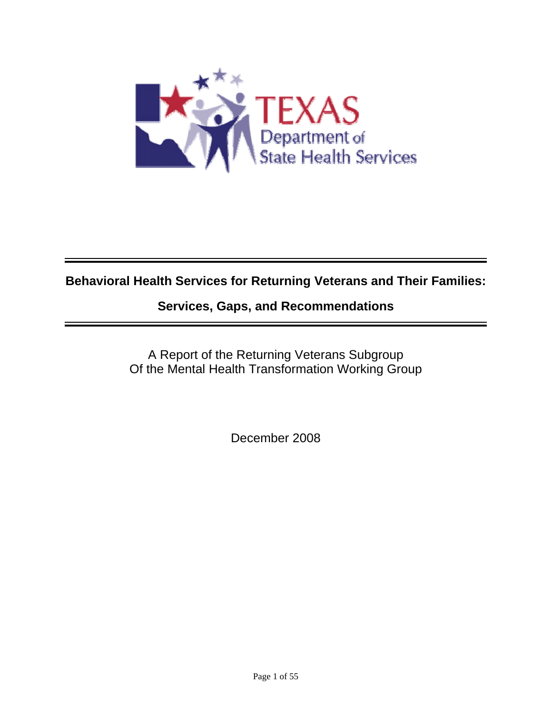

# **Behavioral Health Services for Returning Veterans and Their Families:**

# **Services, Gaps, and Recommendations**

A Report of the Returning Veterans Subgroup Of the Mental Health Transformation Working Group

December 2008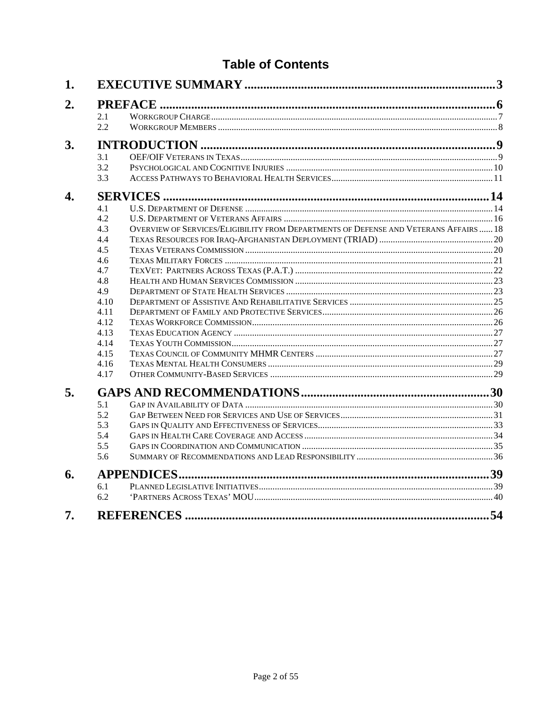# **Table of Contents**

| 1. |      |                                                                                       |    |  |  |  |
|----|------|---------------------------------------------------------------------------------------|----|--|--|--|
| 2. |      |                                                                                       |    |  |  |  |
|    | 2.1  |                                                                                       |    |  |  |  |
|    | 2.2  |                                                                                       |    |  |  |  |
| 3. |      |                                                                                       |    |  |  |  |
|    | 3.1  |                                                                                       |    |  |  |  |
|    | 3.2  |                                                                                       |    |  |  |  |
|    | 3.3  |                                                                                       |    |  |  |  |
| 4. |      |                                                                                       |    |  |  |  |
|    | 4.1  |                                                                                       |    |  |  |  |
|    | 4.2  |                                                                                       |    |  |  |  |
|    | 4.3  | OVERVIEW OF SERVICES/ELIGIBILITY FROM DEPARTMENTS OF DEFENSE AND VETERANS AFFAIRS  18 |    |  |  |  |
|    | 4.4  |                                                                                       |    |  |  |  |
|    | 4.5  |                                                                                       |    |  |  |  |
|    | 4.6  |                                                                                       |    |  |  |  |
|    | 4.7  |                                                                                       |    |  |  |  |
|    | 4.8  |                                                                                       |    |  |  |  |
|    | 4.9  |                                                                                       |    |  |  |  |
|    | 4.10 |                                                                                       |    |  |  |  |
|    | 4.11 |                                                                                       |    |  |  |  |
|    | 4.12 |                                                                                       |    |  |  |  |
|    | 4.13 |                                                                                       |    |  |  |  |
|    | 4.14 |                                                                                       |    |  |  |  |
|    | 4.15 |                                                                                       |    |  |  |  |
|    | 4.16 |                                                                                       |    |  |  |  |
|    | 4.17 |                                                                                       |    |  |  |  |
| 5. |      |                                                                                       |    |  |  |  |
|    | 5.1  |                                                                                       |    |  |  |  |
|    | 5.2  |                                                                                       |    |  |  |  |
|    | 5.3  |                                                                                       |    |  |  |  |
|    | 5.4  |                                                                                       |    |  |  |  |
|    | 5.5  |                                                                                       |    |  |  |  |
|    | 5.6  |                                                                                       |    |  |  |  |
| 6. |      |                                                                                       |    |  |  |  |
|    | 6.1  |                                                                                       |    |  |  |  |
|    | 6.2  |                                                                                       |    |  |  |  |
| 7. |      |                                                                                       | 54 |  |  |  |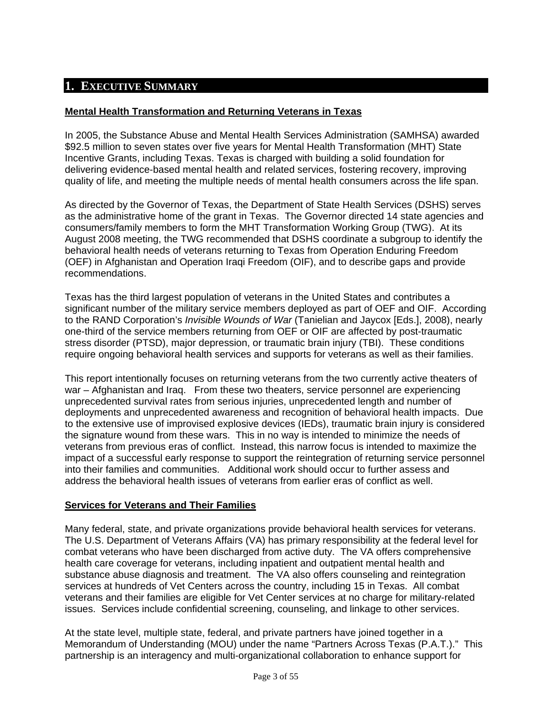## <span id="page-2-0"></span>**1. EXECUTIVE SUMMARY**

## **Mental Health Transformation and Returning Veterans in Texas**

In 2005, the Substance Abuse and Mental Health Services Administration (SAMHSA) awarded \$92.5 million to seven states over five years for Mental Health Transformation (MHT) State Incentive Grants, including Texas. Texas is charged with building a solid foundation for delivering evidence-based mental health and related services, fostering recovery, improving quality of life, and meeting the multiple needs of mental health consumers across the life span.

As directed by the Governor of Texas, the Department of State Health Services (DSHS) serves as the administrative home of the grant in Texas. The Governor directed 14 state agencies and consumers/family members to form the MHT Transformation Working Group (TWG). At its August 2008 meeting, the TWG recommended that DSHS coordinate a subgroup to identify the behavioral health needs of veterans returning to Texas from Operation Enduring Freedom (OEF) in Afghanistan and Operation Iraqi Freedom (OIF), and to describe gaps and provide recommendations.

Texas has the third largest population of veterans in the United States and contributes a significant number of the military service members deployed as part of OEF and OIF. According to the RAND Corporation's *Invisible Wounds of War* (Tanielian and Jaycox [Eds.], 2008), nearly one-third of the service members returning from OEF or OIF are affected by post-traumatic stress disorder (PTSD), major depression, or traumatic brain injury (TBI). These conditions require ongoing behavioral health services and supports for veterans as well as their families.

This report intentionally focuses on returning veterans from the two currently active theaters of war – Afghanistan and Iraq. From these two theaters, service personnel are experiencing unprecedented survival rates from serious injuries, unprecedented length and number of deployments and unprecedented awareness and recognition of behavioral health impacts. Due to the extensive use of improvised explosive devices (IEDs), traumatic brain injury is considered the signature wound from these wars. This in no way is intended to minimize the needs of veterans from previous eras of conflict. Instead, this narrow focus is intended to maximize the impact of a successful early response to support the reintegration of returning service personnel into their families and communities. Additional work should occur to further assess and address the behavioral health issues of veterans from earlier eras of conflict as well.

## **Services for Veterans and Their Families**

Many federal, state, and private organizations provide behavioral health services for veterans. The U.S. Department of Veterans Affairs (VA) has primary responsibility at the federal level for combat veterans who have been discharged from active duty. The VA offers comprehensive health care coverage for veterans, including inpatient and outpatient mental health and substance abuse diagnosis and treatment. The VA also offers counseling and reintegration services at hundreds of Vet Centers across the country, including 15 in Texas. All combat veterans and their families are eligible for Vet Center services at no charge for military-related issues. Services include confidential screening, counseling, and linkage to other services.

At the state level, multiple state, federal, and private partners have joined together in a Memorandum of Understanding (MOU) under the name "Partners Across Texas (P.A.T.)." This partnership is an interagency and multi-organizational collaboration to enhance support for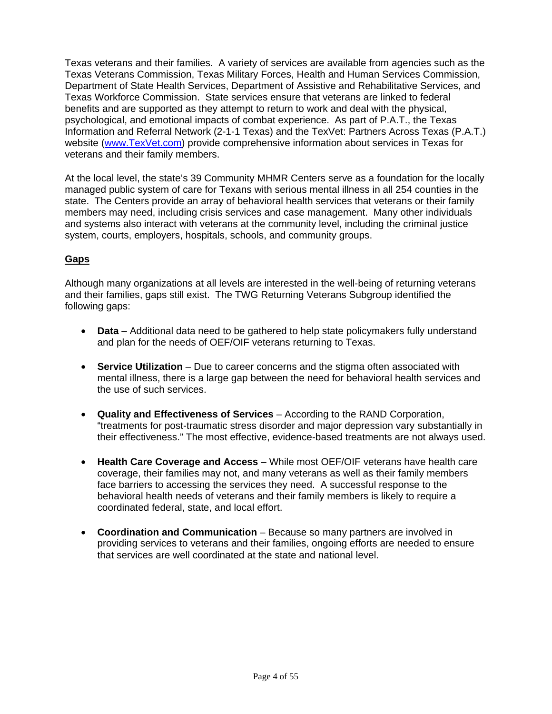Texas veterans and their families. A variety of services are available from agencies such as the Texas Veterans Commission, Texas Military Forces, Health and Human Services Commission, Department of State Health Services, Department of Assistive and Rehabilitative Services, and Texas Workforce Commission. State services ensure that veterans are linked to federal benefits and are supported as they attempt to return to work and deal with the physical, psychological, and emotional impacts of combat experience. As part of P.A.T., the Texas Information and Referral Network (2-1-1 Texas) and the TexVet: Partners Across Texas (P.A.T.) website [\(www.TexVet.com\)](http://www.texvet.com/) provide comprehensive information about services in Texas for veterans and their family members.

At the local level, the state's 39 Community MHMR Centers serve as a foundation for the locally managed public system of care for Texans with serious mental illness in all 254 counties in the state. The Centers provide an array of behavioral health services that veterans or their family members may need, including crisis services and case management. Many other individuals and systems also interact with veterans at the community level, including the criminal justice system, courts, employers, hospitals, schools, and community groups.

## **Gaps**

Although many organizations at all levels are interested in the well-being of returning veterans and their families, gaps still exist. The TWG Returning Veterans Subgroup identified the following gaps:

- **Data** Additional data need to be gathered to help state policymakers fully understand and plan for the needs of OEF/OIF veterans returning to Texas.
- **Service Utilization** Due to career concerns and the stigma often associated with mental illness, there is a large gap between the need for behavioral health services and the use of such services.
- **Quality and Effectiveness of Services** According to the RAND Corporation, "treatments for post-traumatic stress disorder and major depression vary substantially in their effectiveness." The most effective, evidence-based treatments are not always used.
- **Health Care Coverage and Access** While most OEF/OIF veterans have health care coverage, their families may not, and many veterans as well as their family members face barriers to accessing the services they need. A successful response to the behavioral health needs of veterans and their family members is likely to require a coordinated federal, state, and local effort.
- **Coordination and Communication** Because so many partners are involved in providing services to veterans and their families, ongoing efforts are needed to ensure that services are well coordinated at the state and national level.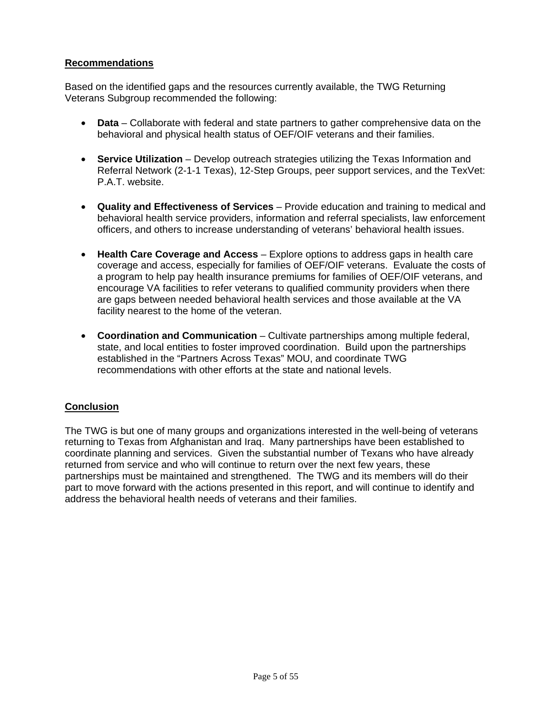## **Recommendations**

Based on the identified gaps and the resources currently available, the TWG Returning Veterans Subgroup recommended the following:

- **Data** Collaborate with federal and state partners to gather comprehensive data on the behavioral and physical health status of OEF/OIF veterans and their families.
- **Service Utilization** Develop outreach strategies utilizing the Texas Information and Referral Network (2-1-1 Texas), 12-Step Groups, peer support services, and the TexVet: P.A.T. website.
- **Quality and Effectiveness of Services** Provide education and training to medical and behavioral health service providers, information and referral specialists, law enforcement officers, and others to increase understanding of veterans' behavioral health issues.
- **Health Care Coverage and Access** Explore options to address gaps in health care coverage and access, especially for families of OEF/OIF veterans. Evaluate the costs of a program to help pay health insurance premiums for families of OEF/OIF veterans, and encourage VA facilities to refer veterans to qualified community providers when there are gaps between needed behavioral health services and those available at the VA facility nearest to the home of the veteran.
- **Coordination and Communication** Cultivate partnerships among multiple federal, state, and local entities to foster improved coordination. Build upon the partnerships established in the "Partners Across Texas" MOU, and coordinate TWG recommendations with other efforts at the state and national levels.

## **Conclusion**

The TWG is but one of many groups and organizations interested in the well-being of veterans returning to Texas from Afghanistan and Iraq. Many partnerships have been established to coordinate planning and services. Given the substantial number of Texans who have already returned from service and who will continue to return over the next few years, these partnerships must be maintained and strengthened. The TWG and its members will do their part to move forward with the actions presented in this report, and will continue to identify and address the behavioral health needs of veterans and their families.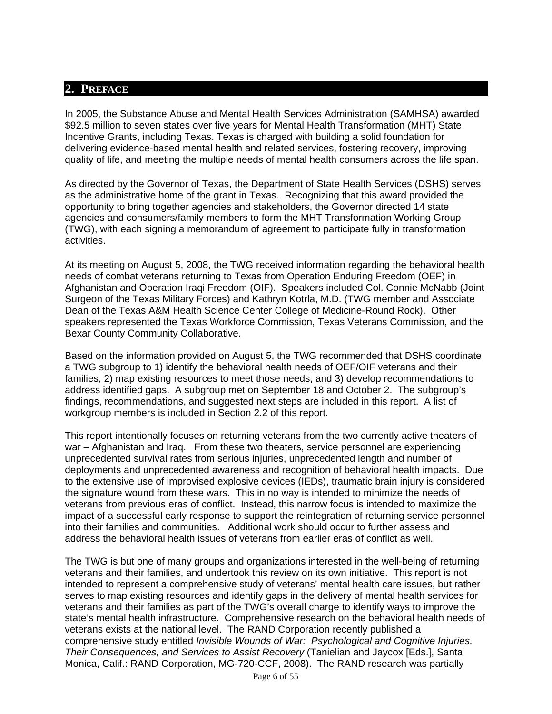## <span id="page-5-0"></span>**2. PREFACE**

In 2005, the Substance Abuse and Mental Health Services Administration (SAMHSA) awarded \$92.5 million to seven states over five years for Mental Health Transformation (MHT) State Incentive Grants, including Texas. Texas is charged with building a solid foundation for delivering evidence-based mental health and related services, fostering recovery, improving quality of life, and meeting the multiple needs of mental health consumers across the life span.

As directed by the Governor of Texas, the Department of State Health Services (DSHS) serves as the administrative home of the grant in Texas. Recognizing that this award provided the opportunity to bring together agencies and stakeholders, the Governor directed 14 state agencies and consumers/family members to form the MHT Transformation Working Group (TWG), with each signing a memorandum of agreement to participate fully in transformation activities.

At its meeting on August 5, 2008, the TWG received information regarding the behavioral health needs of combat veterans returning to Texas from Operation Enduring Freedom (OEF) in Afghanistan and Operation Iraqi Freedom (OIF). Speakers included Col. Connie McNabb (Joint Surgeon of the Texas Military Forces) and Kathryn Kotrla, M.D. (TWG member and Associate Dean of the Texas A&M Health Science Center College of Medicine-Round Rock). Other speakers represented the Texas Workforce Commission, Texas Veterans Commission, and the Bexar County Community Collaborative.

Based on the information provided on August 5, the TWG recommended that DSHS coordinate a TWG subgroup to 1) identify the behavioral health needs of OEF/OIF veterans and their families, 2) map existing resources to meet those needs, and 3) develop recommendations to address identified gaps. A subgroup met on September 18 and October 2. The subgroup's findings, recommendations, and suggested next steps are included in this report. A list of workgroup members is included in Section 2.2 of this report.

This report intentionally focuses on returning veterans from the two currently active theaters of war – Afghanistan and Iraq. From these two theaters, service personnel are experiencing unprecedented survival rates from serious injuries, unprecedented length and number of deployments and unprecedented awareness and recognition of behavioral health impacts. Due to the extensive use of improvised explosive devices (IEDs), traumatic brain injury is considered the signature wound from these wars. This in no way is intended to minimize the needs of veterans from previous eras of conflict. Instead, this narrow focus is intended to maximize the impact of a successful early response to support the reintegration of returning service personnel into their families and communities. Additional work should occur to further assess and address the behavioral health issues of veterans from earlier eras of conflict as well.

The TWG is but one of many groups and organizations interested in the well-being of returning veterans and their families, and undertook this review on its own initiative. This report is not intended to represent a comprehensive study of veterans' mental health care issues, but rather serves to map existing resources and identify gaps in the delivery of mental health services for veterans and their families as part of the TWG's overall charge to identify ways to improve the state's mental health infrastructure. Comprehensive research on the behavioral health needs of veterans exists at the national level. The RAND Corporation recently published a comprehensive study entitled *Invisible Wounds of War: Psychological and Cognitive Injuries, Their Consequences, and Services to Assist Recovery* (Tanielian and Jaycox [Eds.], Santa Monica, Calif.: RAND Corporation, MG-720-CCF, 2008). The RAND research was partially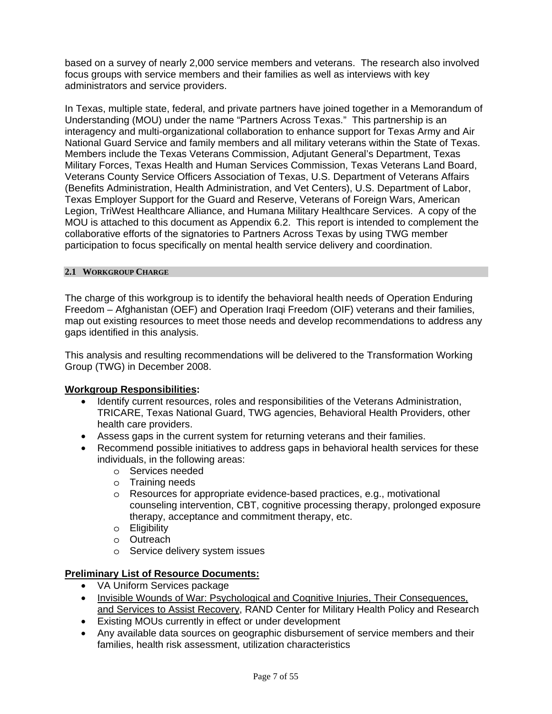<span id="page-6-0"></span>based on a survey of nearly 2,000 service members and veterans. The research also involved focus groups with service members and their families as well as interviews with key administrators and service providers.

In Texas, multiple state, federal, and private partners have joined together in a Memorandum of Understanding (MOU) under the name "Partners Across Texas." This partnership is an interagency and multi-organizational collaboration to enhance support for Texas Army and Air National Guard Service and family members and all military veterans within the State of Texas. Members include the Texas Veterans Commission, Adjutant General's Department, Texas Military Forces, Texas Health and Human Services Commission, Texas Veterans Land Board, Veterans County Service Officers Association of Texas, U.S. Department of Veterans Affairs (Benefits Administration, Health Administration, and Vet Centers), U.S. Department of Labor, Texas Employer Support for the Guard and Reserve, Veterans of Foreign Wars, American Legion, TriWest Healthcare Alliance, and Humana Military Healthcare Services. A copy of the MOU is attached to this document as Appendix 6.2. This report is intended to complement the collaborative efforts of the signatories to Partners Across Texas by using TWG member participation to focus specifically on mental health service delivery and coordination.

#### **2.1 WORKGROUP CHARGE**

The charge of this workgroup is to identify the behavioral health needs of Operation Enduring Freedom – Afghanistan (OEF) and Operation Iraqi Freedom (OIF) veterans and their families, map out existing resources to meet those needs and develop recommendations to address any gaps identified in this analysis.

This analysis and resulting recommendations will be delivered to the Transformation Working Group (TWG) in December 2008.

## **Workgroup Responsibilities:**

- Identify current resources, roles and responsibilities of the Veterans Administration, TRICARE, Texas National Guard, TWG agencies, Behavioral Health Providers, other health care providers.
- Assess gaps in the current system for returning veterans and their families.
- Recommend possible initiatives to address gaps in behavioral health services for these individuals, in the following areas:
	- o Services needed
	- o Training needs
	- o Resources for appropriate evidence-based practices, e.g., motivational counseling intervention, CBT, cognitive processing therapy, prolonged exposure therapy, acceptance and commitment therapy, etc.
	- o Eligibility
	- o Outreach
	- o Service delivery system issues

## **Preliminary List of Resource Documents:**

- VA Uniform Services package
- Invisible Wounds of War: Psychological and Cognitive Injuries, Their Consequences, and Services to Assist Recovery, RAND Center for Military Health Policy and Research
- Existing MOUs currently in effect or under development
- Any available data sources on geographic disbursement of service members and their families, health risk assessment, utilization characteristics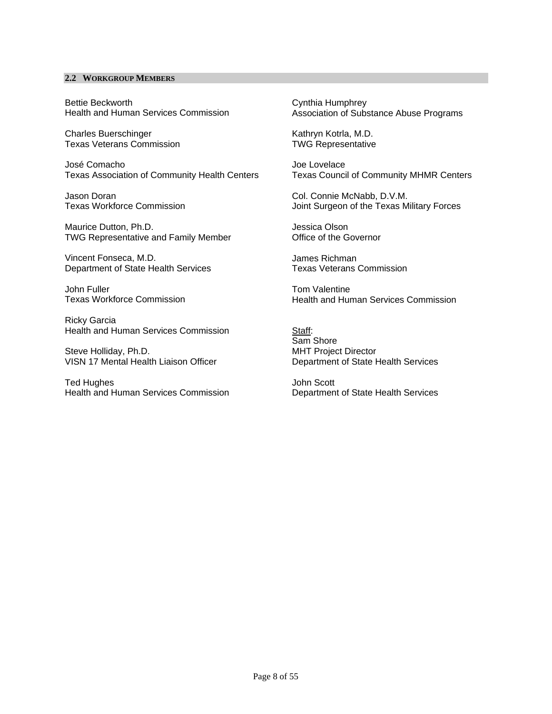#### <span id="page-7-0"></span>**2.2 WORKGROUP MEMBERS**

Bettie Beckworth Health and Human Services Commission

Charles Buerschinger Texas Veterans Commission

José Comacho Texas Association of Community Health Centers

Jason Doran Texas Workforce Commission

Maurice Dutton, Ph.D. TWG Representative and Family Member

Vincent Fonseca, M.D. Department of State Health Services

John Fuller Texas Workforce Commission

Ricky Garcia Health and Human Services Commission

Steve Holliday, Ph.D. VISN 17 Mental Health Liaison Officer

Ted Hughes Health and Human Services Commission Cynthia Humphrey Association of Substance Abuse Programs

Kathryn Kotrla, M.D. TWG Representative

Joe Lovelace Texas Council of Community MHMR Centers

Col. Connie McNabb, D.V.M. Joint Surgeon of the Texas Military Forces

Jessica Olson Office of the Governor

James Richman Texas Veterans Commission

Tom Valentine Health and Human Services Commission

Staff: Sam Shore MHT Project Director Department of State Health Services

John Scott Department of State Health Services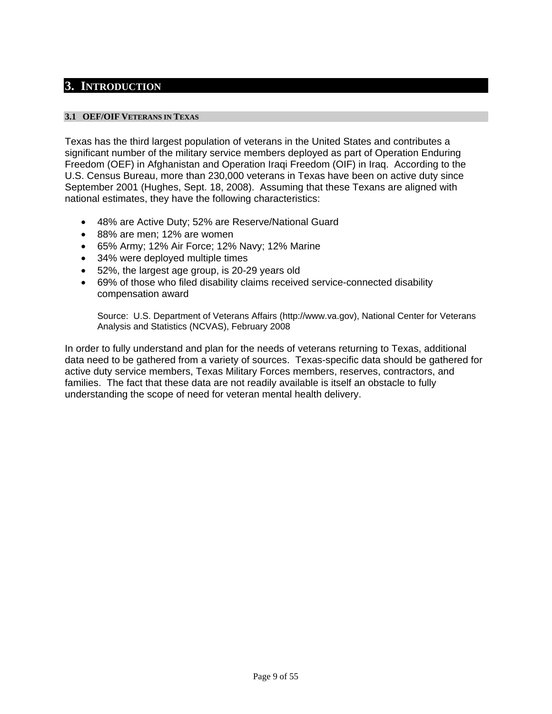## <span id="page-8-0"></span>**3. INTRODUCTION**

#### **3.1 OEF/OIF VETERANS IN TEXAS**

Texas has the third largest population of veterans in the United States and contributes a significant number of the military service members deployed as part of Operation Enduring Freedom (OEF) in Afghanistan and Operation Iraqi Freedom (OIF) in Iraq. According to the U.S. Census Bureau, more than 230,000 veterans in Texas have been on active duty since September 2001 (Hughes, Sept. 18, 2008). Assuming that these Texans are aligned with national estimates, they have the following characteristics:

- 48% are Active Duty; 52% are Reserve/National Guard
- 88% are men; 12% are women
- 65% Army; 12% Air Force; 12% Navy; 12% Marine
- 34% were deployed multiple times
- 52%, the largest age group, is 20-29 years old
- 69% of those who filed disability claims received service-connected disability compensation award

Source: U.S. Department of Veterans Affairs (http://www.va.gov), National Center for Veterans Analysis and Statistics (NCVAS), February 2008

In order to fully understand and plan for the needs of veterans returning to Texas, additional data need to be gathered from a variety of sources. Texas-specific data should be gathered for active duty service members, Texas Military Forces members, reserves, contractors, and families. The fact that these data are not readily available is itself an obstacle to fully understanding the scope of need for veteran mental health delivery.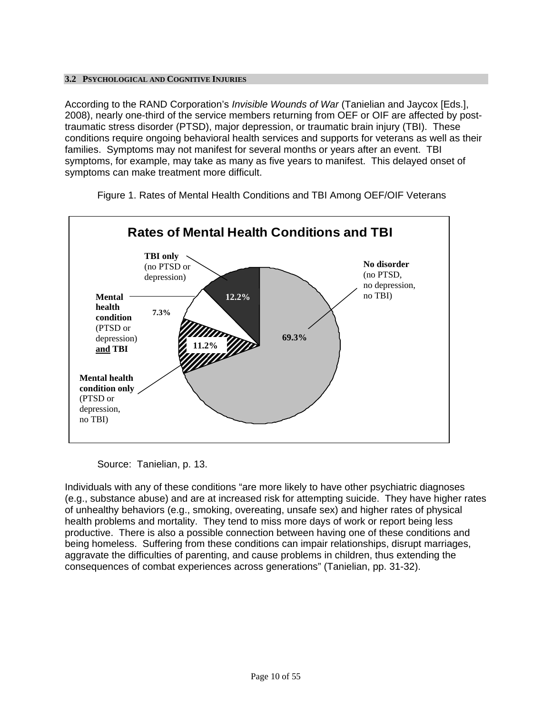#### <span id="page-9-0"></span>**3.2 PSYCHOLOGICAL AND COGNITIVE INJURIES**

According to the RAND Corporation's *Invisible Wounds of War* (Tanielian and Jaycox [Eds.], 2008), nearly one-third of the service members returning from OEF or OIF are affected by posttraumatic stress disorder (PTSD), major depression, or traumatic brain injury (TBI). These conditions require ongoing behavioral health services and supports for veterans as well as their families. Symptoms may not manifest for several months or years after an event. TBI symptoms, for example, may take as many as five years to manifest. This delayed onset of symptoms can make treatment more difficult.



Figure 1. Rates of Mental Health Conditions and TBI Among OEF/OIF Veterans

Source: Tanielian, p. 13.

Individuals with any of these conditions "are more likely to have other psychiatric diagnoses (e.g., substance abuse) and are at increased risk for attempting suicide. They have higher rates of unhealthy behaviors (e.g., smoking, overeating, unsafe sex) and higher rates of physical health problems and mortality. They tend to miss more days of work or report being less productive. There is also a possible connection between having one of these conditions and being homeless. Suffering from these conditions can impair relationships, disrupt marriages, aggravate the difficulties of parenting, and cause problems in children, thus extending the consequences of combat experiences across generations" (Tanielian, pp. 31-32).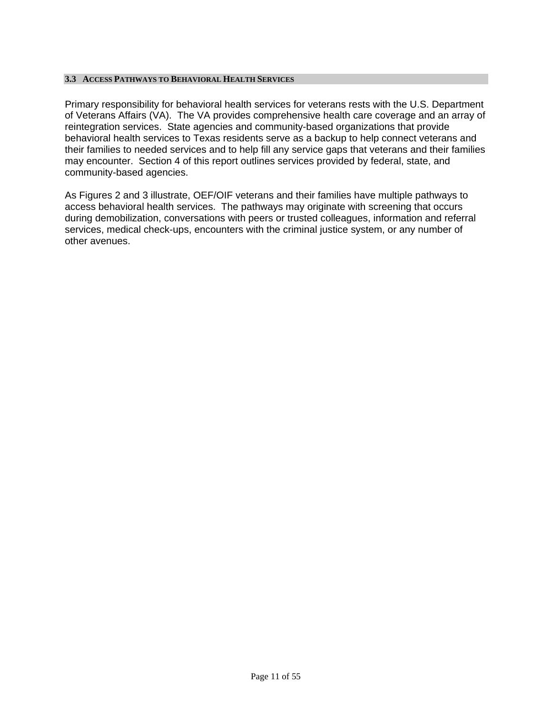#### <span id="page-10-0"></span>**3.3 ACCESS PATHWAYS TO BEHAVIORAL HEALTH SERVICES**

Primary responsibility for behavioral health services for veterans rests with the U.S. Department of Veterans Affairs (VA). The VA provides comprehensive health care coverage and an array of reintegration services. State agencies and community-based organizations that provide behavioral health services to Texas residents serve as a backup to help connect veterans and their families to needed services and to help fill any service gaps that veterans and their families may encounter. Section 4 of this report outlines services provided by federal, state, and community-based agencies.

As Figures 2 and 3 illustrate, OEF/OIF veterans and their families have multiple pathways to access behavioral health services. The pathways may originate with screening that occurs during demobilization, conversations with peers or trusted colleagues, information and referral services, medical check-ups, encounters with the criminal justice system, or any number of other avenues.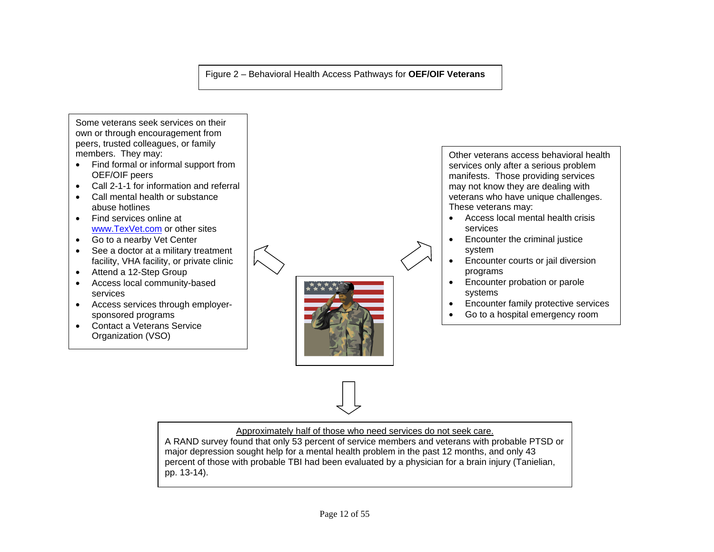#### Figure 2 – Behavioral Health Access Pathways for **OEF/OIF Veterans**

Some veterans seek services on their own or through encouragement from peers, trusted colleagues, or family members. They may:

- Find formal or informal support from OEF/OIF peers
- Call 2-1-1 for information and referral
- Call mental health or substance abuse hotlines
- Find services online at [www.TexVet.com](http://www.texvet.com/) or other sites
- Go to a nearby Vet Center
- See a doctor at a military treatment facility, VHA facility, or private clinic
- Attend a 12-Step Group
- Access local community-based services
- Access services through employersponsored programs
- Contact a Veterans Service Organization (VSO)

Other veterans access behavioral health services only after a serious problem manifests. Those providing services may not know they are dealing with veterans who have unique challenges. These veterans may:

- Access local mental health crisis services
- Encounter the criminal justice system
- **Encounter courts or jail diversion** programs
- Encounter probation or parole systems
- Encounter family protective services
- Go to a hospital emergency room

Approximately half of those who need services do not seek care.

A RAND survey found that only 53 percent of service members and veterans with probable PTSD or major depression sought help for a mental health problem in the past 12 months, and only 43 percent of those with probable TBI had been evaluated by a physician for a brain injury (Tanielian, pp. 13-14).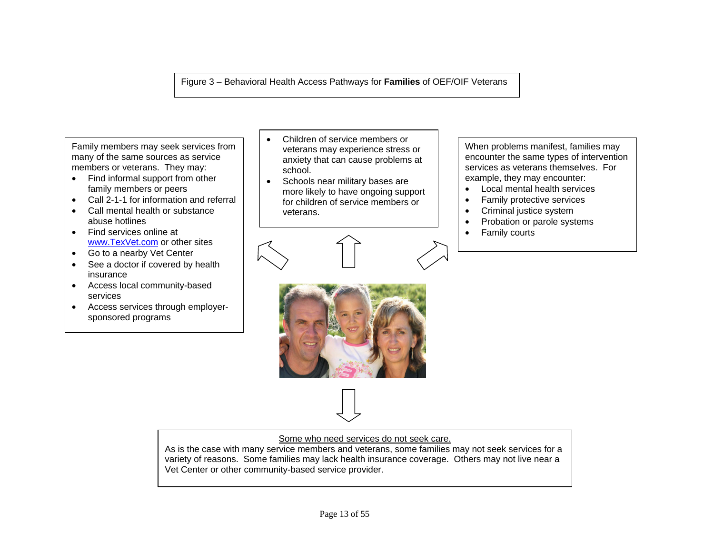Figure 3 – Behavioral Health Access Pathways for **Families** of OEF/OIF Veterans

Family members may seek services from many of the same sources as service members or veterans. They may:

- Find informal support from other family members or peers
- Call 2-1-1 for information and referral
- Call mental health or substance abuse hotlines
- Find services online at  $\overline{a}$   $\overline{b}$   $\overline{c}$   $\overline{c}$   $\overline{d}$   $\overline{c}$  Family courts [www.TexVet.com](http://www.texvet.com/) or other sites
- Go to a nearby Vet Center
- See a doctor if covered by health insurance
- Access local community-based services
- Access services through employersponsored programs
- Children of service members or veterans may experience stress or anxiety that can cause problems at school.
- Schools near military bases are more likely to have ongoing support for children of service members or veterans.

When problems manifest, families may encounter the same types of intervention services as veterans themselves. For example, they may encounter:

- Local mental health services
- Family protective services
- Criminal justice system
- Probation or parole systems
- 



Some who need services do not seek care.

As is the case with many service members and veterans, some families may not seek services for a variety of reasons. Some families may lack health insurance coverage. Others may not live near a Vet Center or other community-based service provider.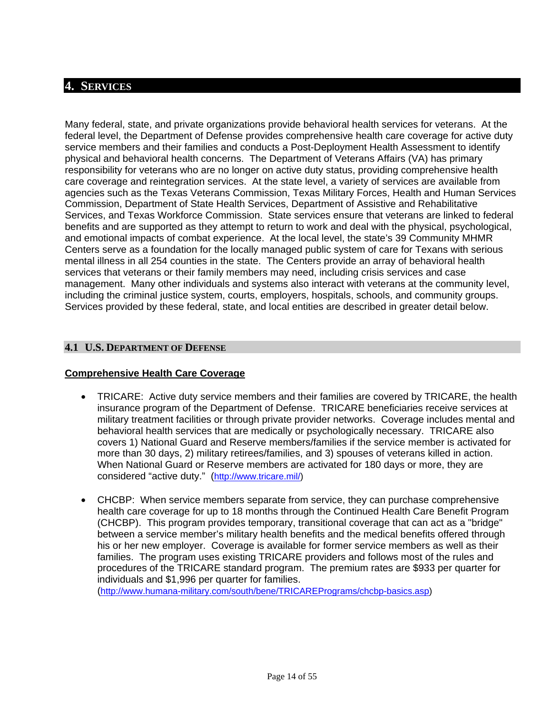## <span id="page-13-0"></span>**4. SERVICES**

Many federal, state, and private organizations provide behavioral health services for veterans. At the federal level, the Department of Defense provides comprehensive health care coverage for active duty service members and their families and conducts a Post-Deployment Health Assessment to identify physical and behavioral health concerns. The Department of Veterans Affairs (VA) has primary responsibility for veterans who are no longer on active duty status, providing comprehensive health care coverage and reintegration services. At the state level, a variety of services are available from agencies such as the Texas Veterans Commission, Texas Military Forces, Health and Human Services Commission, Department of State Health Services, Department of Assistive and Rehabilitative Services, and Texas Workforce Commission. State services ensure that veterans are linked to federal benefits and are supported as they attempt to return to work and deal with the physical, psychological, and emotional impacts of combat experience. At the local level, the state's 39 Community MHMR Centers serve as a foundation for the locally managed public system of care for Texans with serious mental illness in all 254 counties in the state. The Centers provide an array of behavioral health services that veterans or their family members may need, including crisis services and case management. Many other individuals and systems also interact with veterans at the community level, including the criminal justice system, courts, employers, hospitals, schools, and community groups. Services provided by these federal, state, and local entities are described in greater detail below.

## **4.1 U.S. DEPARTMENT OF DEFENSE**

#### **Comprehensive Health Care Coverage**

- TRICARE: Active duty service members and their families are covered by TRICARE, the health insurance program of the Department of Defense. TRICARE beneficiaries receive services at military treatment facilities or through private provider networks. Coverage includes mental and behavioral health services that are medically or psychologically necessary. TRICARE also covers 1) National Guard and Reserve members/families if the service member is activated for more than 30 days, 2) military retirees/families, and 3) spouses of veterans killed in action. When National Guard or Reserve members are activated for 180 days or more, they are considered "active duty." (<http://www.tricare.mil/>)
- CHCBP: When service members separate from service, they can purchase comprehensive health care coverage for up to 18 months through the Continued Health Care Benefit Program (CHCBP). This program provides temporary, transitional coverage that can act as a "bridge" between a service member's military health benefits and the medical benefits offered through his or her new employer. Coverage is available for former service members as well as their families. The program uses existing TRICARE providers and follows most of the rules and procedures of the TRICARE standard program. The premium rates are \$933 per quarter for individuals and \$1,996 per quarter for families.

(<http://www.humana-military.com/south/bene/TRICAREPrograms/chcbp-basics.asp>)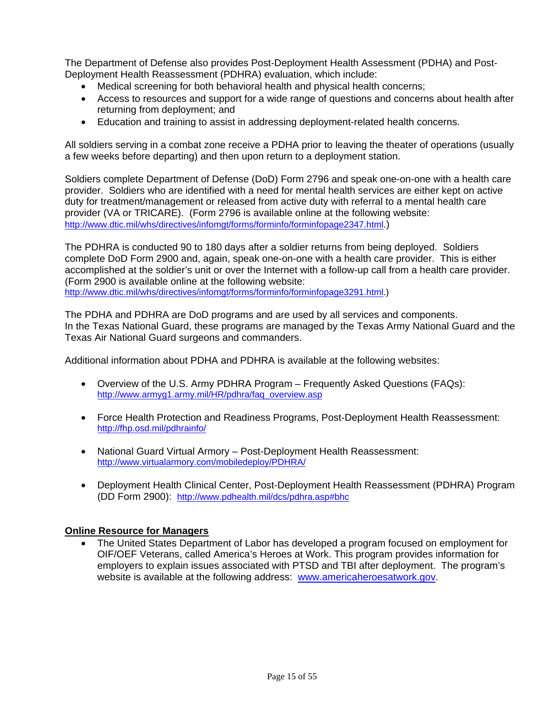The Department of Defense also provides Post-Deployment Health Assessment (PDHA) and Post-Deployment Health Reassessment (PDHRA) evaluation, which include:

- Medical screening for both behavioral health and physical health concerns;
- Access to resources and support for a wide range of questions and concerns about health after returning from deployment; and
- Education and training to assist in addressing deployment-related health concerns.

All soldiers serving in a combat zone receive a PDHA prior to leaving the theater of operations (usually a few weeks before departing) and then upon return to a deployment station.

Soldiers complete Department of Defense (DoD) Form 2796 and speak one-on-one with a health care provider. Soldiers who are identified with a need for mental health services are either kept on active duty for treatment/management or released from active duty with referral to a mental health care provider (VA or TRICARE). (Form 2796 is available online at the following website: <http://www.dtic.mil/whs/directives/infomgt/forms/forminfo/forminfopage2347.html>.)

The PDHRA is conducted 90 to 180 days after a soldier returns from being deployed. Soldiers complete DoD Form 2900 and, again, speak one-on-one with a health care provider. This is either accomplished at the soldier's unit or over the Internet with a follow-up call from a health care provider. (Form 2900 is available online at the following website:

<http://www.dtic.mil/whs/directives/infomgt/forms/forminfo/forminfopage3291.html>.)

The PDHA and PDHRA are DoD programs and are used by all services and components. In the Texas National Guard, these programs are managed by the Texas Army National Guard and the Texas Air National Guard surgeons and commanders.

Additional information about PDHA and PDHRA is available at the following websites:

- Overview of the U.S. Army PDHRA Program Frequently Asked Questions (FAQs): [http://www.armyg1.army.mil/HR/pdhra/faq\\_overview.asp](http://www.armyg1.army.mil/HR/pdhra/faq_overview.asp)
- Force Health Protection and Readiness Programs, Post-Deployment Health Reassessment: <http://fhp.osd.mil/pdhrainfo/>
- National Guard Virtual Armory Post-Deployment Health Reassessment: <http://www.virtualarmory.com/mobiledeploy/PDHRA/>
- Deployment Health Clinical Center, Post-Deployment Health Reassessment (PDHRA) Program (DD Form 2900): <http://www.pdhealth.mil/dcs/pdhra.asp#bhc>

## **Online Resource for Managers**

 The United States Department of Labor has developed a program focused on employment for OIF/OEF Veterans, called America's Heroes at Work. This program provides information for employers to explain issues associated with PTSD and TBI after deployment. The program's website is available at the following address: [www.americaheroesatwork.gov](http://www.americaheroesatwork.gov/).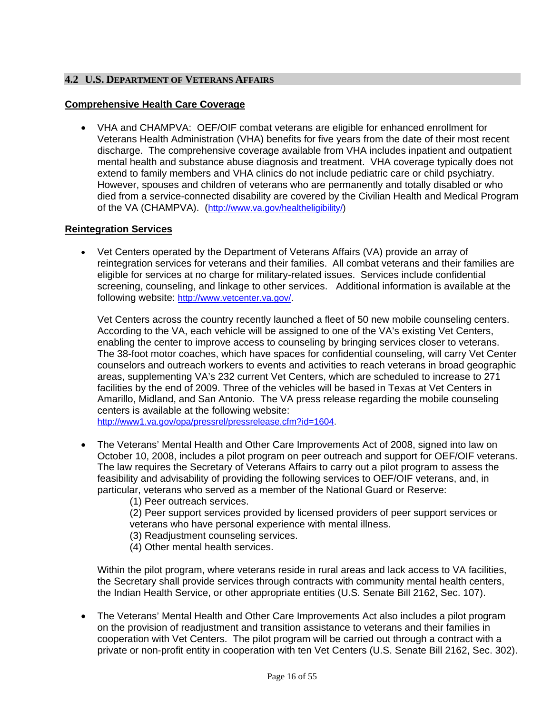## <span id="page-15-0"></span>**4.2 U.S. DEPARTMENT OF VETERANS AFFAIRS**

## **Comprehensive Health Care Coverage**

 VHA and CHAMPVA: OEF/OIF combat veterans are eligible for enhanced enrollment for Veterans Health Administration (VHA) benefits for five years from the date of their most recent discharge. The comprehensive coverage available from VHA includes inpatient and outpatient mental health and substance abuse diagnosis and treatment. VHA coverage typically does not extend to family members and VHA clinics do not include pediatric care or child psychiatry. However, spouses and children of veterans who are permanently and totally disabled or who died from a service-connected disability are covered by the Civilian Health and Medical Program of the VA (CHAMPVA). (<http://www.va.gov/healtheligibility/>)

## **Reintegration Services**

 Vet Centers operated by the Department of Veterans Affairs (VA) provide an array of reintegration services for veterans and their families. All combat veterans and their families are eligible for services at no charge for military-related issues. Services include confidential screening, counseling, and linkage to other services. Additional information is available at the following website: [http://www.vetcenter.va.gov/.](http://www.vetcenter.va.gov/)

Vet Centers across the country recently launched a fleet of 50 new mobile counseling centers. According to the VA, each vehicle will be assigned to one of the VA's existing Vet Centers, enabling the center to improve access to counseling by bringing services closer to veterans. The 38-foot motor coaches, which have spaces for confidential counseling, will carry Vet Center counselors and outreach workers to events and activities to reach veterans in broad geographic areas, supplementing VA's 232 current Vet Centers, which are scheduled to increase to 271 facilities by the end of 2009. Three of the vehicles will be based in Texas at Vet Centers in Amarillo, Midland, and San Antonio. The VA press release regarding the mobile counseling centers is available at the following website:

[http://www1.va.gov/opa/pressrel/pressrelease.cfm?id=1604.](http://www1.va.gov/opa/pressrel/pressrelease.cfm?id=1604)

- The Veterans' Mental Health and Other Care Improvements Act of 2008, signed into law on October 10, 2008, includes a pilot program on peer outreach and support for OEF/OIF veterans. The law requires the Secretary of Veterans Affairs to carry out a pilot program to assess the feasibility and advisability of providing the following services to OEF/OIF veterans, and, in particular, veterans who served as a member of the National Guard or Reserve:
	- (1) Peer outreach services.

(2) Peer support services provided by licensed providers of peer support services or veterans who have personal experience with mental illness.

- (3) Readjustment counseling services.
- (4) Other mental health services.

Within the pilot program, where veterans reside in rural areas and lack access to VA facilities, the Secretary shall provide services through contracts with community mental health centers, the Indian Health Service, or other appropriate entities (U.S. Senate Bill 2162, Sec. 107).

 The Veterans' Mental Health and Other Care Improvements Act also includes a pilot program on the provision of readjustment and transition assistance to veterans and their families in cooperation with Vet Centers. The pilot program will be carried out through a contract with a private or non-profit entity in cooperation with ten Vet Centers (U.S. Senate Bill 2162, Sec. 302).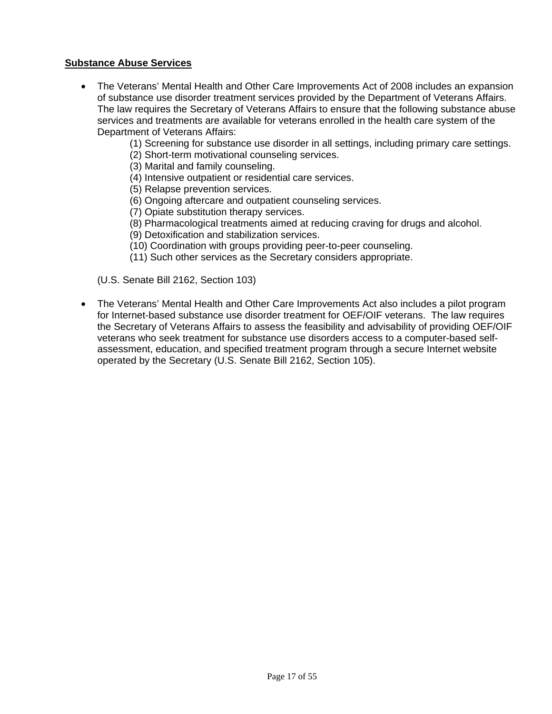## **Substance Abuse Services**

- The Veterans' Mental Health and Other Care Improvements Act of 2008 includes an expansion of substance use disorder treatment services provided by the Department of Veterans Affairs. The law requires the Secretary of Veterans Affairs to ensure that the following substance abuse services and treatments are available for veterans enrolled in the health care system of the Department of Veterans Affairs:
	- (1) Screening for substance use disorder in all settings, including primary care settings.
	- (2) Short-term motivational counseling services.
	- (3) Marital and family counseling.
	- (4) Intensive outpatient or residential care services.
	- (5) Relapse prevention services.
	- (6) Ongoing aftercare and outpatient counseling services.
	- (7) Opiate substitution therapy services.
	- (8) Pharmacological treatments aimed at reducing craving for drugs and alcohol.
	- (9) Detoxification and stabilization services.
	- (10) Coordination with groups providing peer-to-peer counseling.
	- (11) Such other services as the Secretary considers appropriate.
	- (U.S. Senate Bill 2162, Section 103)
- The Veterans' Mental Health and Other Care Improvements Act also includes a pilot program for Internet-based substance use disorder treatment for OEF/OIF veterans. The law requires the Secretary of Veterans Affairs to assess the feasibility and advisability of providing OEF/OIF veterans who seek treatment for substance use disorders access to a computer-based selfassessment, education, and specified treatment program through a secure Internet website operated by the Secretary (U.S. Senate Bill 2162, Section 105).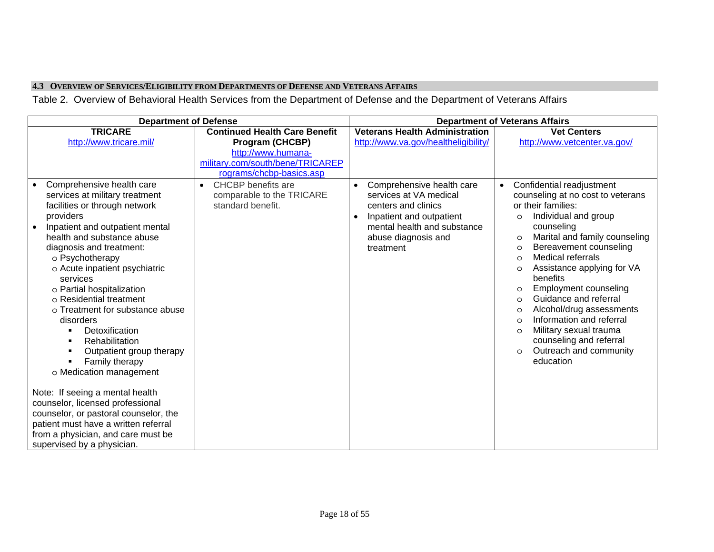#### **4.3 OVERVIEW OF SERVICES/ELIGIBILITY FROM DEPARTMENTS OF DEFENSE AND VETERANS AFFAIRS**

Table 2. Overview of Behavioral Health Services from the Department of Defense and the Department of Veterans Affairs

<span id="page-17-0"></span>

|           | <b>Department of Defense</b>          |                                        | <b>Department of Veterans Affairs</b> |                                          |  |  |
|-----------|---------------------------------------|----------------------------------------|---------------------------------------|------------------------------------------|--|--|
|           | <b>TRICARE</b>                        | <b>Continued Health Care Benefit</b>   | <b>Veterans Health Administration</b> | <b>Vet Centers</b>                       |  |  |
|           | http://www.tricare.mil/               | Program (CHCBP)                        | http://www.va.gov/healtheligibility/  | http://www.vetcenter.va.gov/             |  |  |
|           |                                       | http://www.humana-                     |                                       |                                          |  |  |
|           |                                       | military.com/south/bene/TRICAREP       |                                       |                                          |  |  |
|           |                                       | rograms/chcbp-basics.asp               |                                       |                                          |  |  |
|           | Comprehensive health care             | <b>CHCBP</b> benefits are<br>$\bullet$ | Comprehensive health care             | Confidential readjustment<br>$\bullet$   |  |  |
|           | services at military treatment        | comparable to the TRICARE              | services at VA medical                | counseling at no cost to veterans        |  |  |
|           | facilities or through network         | standard benefit.                      | centers and clinics                   | or their families:                       |  |  |
|           | providers                             |                                        | Inpatient and outpatient              | Individual and group<br>$\circ$          |  |  |
| $\bullet$ | Inpatient and outpatient mental       |                                        | mental health and substance           | counseling                               |  |  |
|           | health and substance abuse            |                                        | abuse diagnosis and                   | Marital and family counseling<br>$\circ$ |  |  |
|           | diagnosis and treatment:              |                                        | treatment                             | Bereavement counseling<br>$\circ$        |  |  |
|           | o Psychotherapy                       |                                        |                                       | <b>Medical referrals</b><br>$\circ$      |  |  |
|           | o Acute inpatient psychiatric         |                                        |                                       | Assistance applying for VA<br>$\circ$    |  |  |
|           | services                              |                                        |                                       | benefits                                 |  |  |
|           | o Partial hospitalization             |                                        |                                       | Employment counseling<br>$\circ$         |  |  |
|           | o Residential treatment               |                                        |                                       | Guidance and referral<br>$\circ$         |  |  |
|           | o Treatment for substance abuse       |                                        |                                       | Alcohol/drug assessments<br>$\circ$      |  |  |
|           | disorders                             |                                        |                                       | Information and referral<br>$\circ$      |  |  |
|           | Detoxification                        |                                        |                                       | Military sexual trauma<br>$\circ$        |  |  |
|           | Rehabilitation<br>п                   |                                        |                                       | counseling and referral                  |  |  |
|           | Outpatient group therapy              |                                        |                                       | Outreach and community<br>$\circ$        |  |  |
|           | Family therapy                        |                                        |                                       | education                                |  |  |
|           | o Medication management               |                                        |                                       |                                          |  |  |
|           | Note: If seeing a mental health       |                                        |                                       |                                          |  |  |
|           | counselor, licensed professional      |                                        |                                       |                                          |  |  |
|           | counselor, or pastoral counselor, the |                                        |                                       |                                          |  |  |
|           | patient must have a written referral  |                                        |                                       |                                          |  |  |
|           | from a physician, and care must be    |                                        |                                       |                                          |  |  |
|           | supervised by a physician.            |                                        |                                       |                                          |  |  |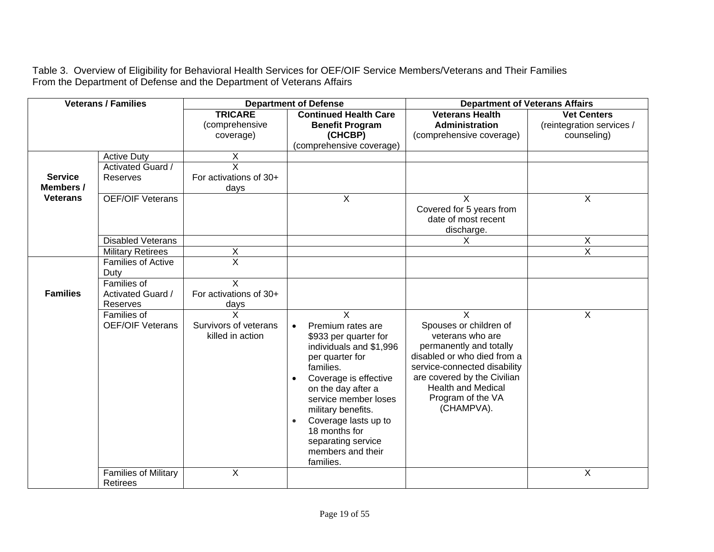Table 3. Overview of Eligibility for Behavioral Health Services for OEF/OIF Service Members/Veterans and Their Families From the Department of Defense and the Department of Veterans Affairs

| <b>Veterans / Families</b>  |                                                |                                               | <b>Department of Defense</b>                                                                                                                                                                                                                                                                                          | <b>Department of Veterans Affairs</b>                                                                                                                                                                                                          |                                                                |  |
|-----------------------------|------------------------------------------------|-----------------------------------------------|-----------------------------------------------------------------------------------------------------------------------------------------------------------------------------------------------------------------------------------------------------------------------------------------------------------------------|------------------------------------------------------------------------------------------------------------------------------------------------------------------------------------------------------------------------------------------------|----------------------------------------------------------------|--|
|                             |                                                | <b>TRICARE</b><br>(comprehensive<br>coverage) | <b>Continued Health Care</b><br><b>Benefit Program</b><br>(CHCBP)<br>(comprehensive coverage)                                                                                                                                                                                                                         | <b>Veterans Health</b><br><b>Administration</b><br>(comprehensive coverage)                                                                                                                                                                    | <b>Vet Centers</b><br>(reintegration services /<br>counseling) |  |
|                             | <b>Active Duty</b><br><b>Activated Guard /</b> | X<br>$\overline{\mathsf{x}}$                  |                                                                                                                                                                                                                                                                                                                       |                                                                                                                                                                                                                                                |                                                                |  |
| <b>Service</b><br>Members / | Reserves                                       | For activations of 30+<br>days                |                                                                                                                                                                                                                                                                                                                       |                                                                                                                                                                                                                                                |                                                                |  |
| <b>Veterans</b>             | <b>OEF/OIF Veterans</b>                        |                                               | X                                                                                                                                                                                                                                                                                                                     | X<br>Covered for 5 years from<br>date of most recent<br>discharge.                                                                                                                                                                             | X                                                              |  |
|                             | <b>Disabled Veterans</b>                       |                                               |                                                                                                                                                                                                                                                                                                                       | X.                                                                                                                                                                                                                                             | X                                                              |  |
|                             | <b>Military Retirees</b>                       | X                                             |                                                                                                                                                                                                                                                                                                                       |                                                                                                                                                                                                                                                | $\overline{X}$                                                 |  |
|                             | <b>Families of Active</b><br>Duty              | $\overline{\mathsf{x}}$                       |                                                                                                                                                                                                                                                                                                                       |                                                                                                                                                                                                                                                |                                                                |  |
| <b>Families</b>             | Families of<br>Activated Guard /<br>Reserves   | X<br>For activations of 30+<br><u>days</u>    |                                                                                                                                                                                                                                                                                                                       |                                                                                                                                                                                                                                                |                                                                |  |
|                             | Families of<br><b>OEF/OIF Veterans</b>         | Survivors of veterans<br>killed in action     | X<br>Premium rates are<br>$\bullet$<br>\$933 per quarter for<br>individuals and \$1,996<br>per quarter for<br>families.<br>Coverage is effective<br>on the day after a<br>service member loses<br>military benefits.<br>Coverage lasts up to<br>18 months for<br>separating service<br>members and their<br>families. | $\sf X$<br>Spouses or children of<br>veterans who are<br>permanently and totally<br>disabled or who died from a<br>service-connected disability<br>are covered by the Civilian<br><b>Health and Medical</b><br>Program of the VA<br>(CHAMPVA). | X                                                              |  |
|                             | <b>Families of Military</b><br>Retirees        | X                                             |                                                                                                                                                                                                                                                                                                                       |                                                                                                                                                                                                                                                | Χ                                                              |  |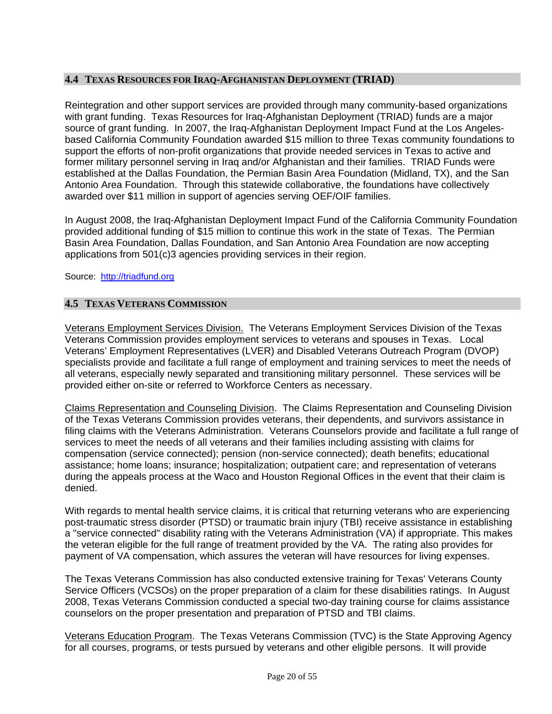## <span id="page-19-0"></span>**4.4 TEXAS RESOURCES FOR IRAQ-AFGHANISTAN DEPLOYMENT (TRIAD)**

Reintegration and other support services are provided through many community-based organizations with grant funding. Texas Resources for Iraq-Afghanistan Deployment (TRIAD) funds are a major source of grant funding. In 2007, the Iraq-Afghanistan Deployment Impact Fund at the Los Angelesbased California Community Foundation awarded \$15 million to three Texas community foundations to support the efforts of non-profit organizations that provide needed services in Texas to active and former military personnel serving in Iraq and/or Afghanistan and their families. TRIAD Funds were established at the Dallas Foundation, the Permian Basin Area Foundation (Midland, TX), and the San Antonio Area Foundation. Through this statewide collaborative, the foundations have collectively awarded over \$11 million in support of agencies serving OEF/OIF families.

In August 2008, the Iraq-Afghanistan Deployment Impact Fund of the California Community Foundation provided additional funding of \$15 million to continue this work in the state of Texas. The Permian Basin Area Foundation, Dallas Foundation, and San Antonio Area Foundation are now accepting applications from 501(c)3 agencies providing services in their region.

Source: [http://triadfund.org](http://triadfund.org/)

## **4.5 TEXAS VETERANS COMMISSION**

Veterans Employment Services Division. The Veterans Employment Services Division of the Texas Veterans Commission provides employment services to veterans and spouses in Texas. Local Veterans' Employment Representatives (LVER) and Disabled Veterans Outreach Program (DVOP) specialists provide and facilitate a full range of employment and training services to meet the needs of all veterans, especially newly separated and transitioning military personnel. These services will be provided either on-site or referred to Workforce Centers as necessary.

Claims Representation and Counseling Division. The Claims Representation and Counseling Division of the Texas Veterans Commission provides veterans, their dependents, and survivors assistance in filing claims with the Veterans Administration. Veterans Counselors provide and facilitate a full range of services to meet the needs of all veterans and their families including assisting with claims for compensation (service connected); pension (non-service connected); death benefits; educational assistance; home loans; insurance; hospitalization; outpatient care; and representation of veterans during the appeals process at the Waco and Houston Regional Offices in the event that their claim is denied.

With regards to mental health service claims, it is critical that returning veterans who are experiencing post-traumatic stress disorder (PTSD) or traumatic brain injury (TBI) receive assistance in establishing a "service connected" disability rating with the Veterans Administration (VA) if appropriate. This makes the veteran eligible for the full range of treatment provided by the VA. The rating also provides for payment of VA compensation, which assures the veteran will have resources for living expenses.

The Texas Veterans Commission has also conducted extensive training for Texas' Veterans County Service Officers (VCSOs) on the proper preparation of a claim for these disabilities ratings. In August 2008, Texas Veterans Commission conducted a special two-day training course for claims assistance counselors on the proper presentation and preparation of PTSD and TBI claims.

Veterans Education Program. The Texas Veterans Commission (TVC) is the State Approving Agency for all courses, programs, or tests pursued by veterans and other eligible persons. It will provide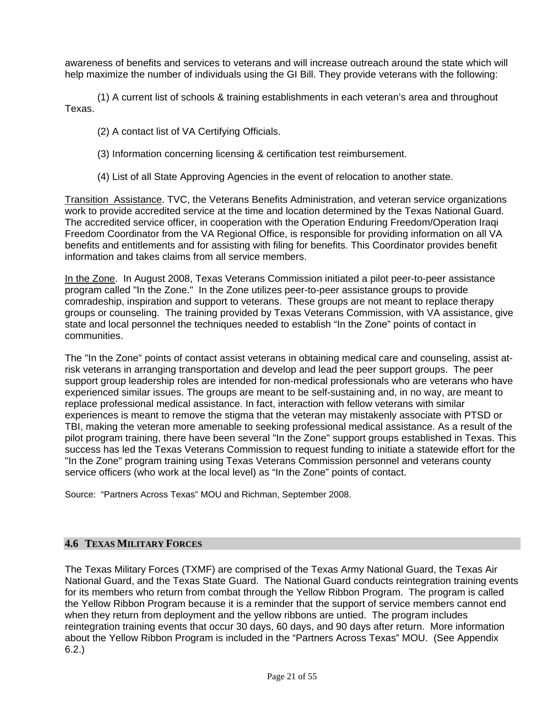<span id="page-20-0"></span>awareness of benefits and services to veterans and will increase outreach around the state which will help maximize the number of individuals using the GI Bill. They provide veterans with the following:

(1) A current list of schools & training establishments in each veteran's area and throughout Texas.

(2) A contact list of VA Certifying Officials.

(3) Information concerning licensing & certification test reimbursement.

(4) List of all State Approving Agencies in the event of relocation to another state.

Transition Assistance. TVC, the Veterans Benefits Administration, and veteran service organizations work to provide accredited service at the time and location determined by the Texas National Guard. The accredited service officer, in cooperation with the Operation Enduring Freedom/Operation Iraqi Freedom Coordinator from the VA Regional Office, is responsible for providing information on all VA benefits and entitlements and for assisting with filing for benefits. This Coordinator provides benefit information and takes claims from all service members.

In the Zone. In August 2008, Texas Veterans Commission initiated a pilot peer-to-peer assistance program called "In the Zone." In the Zone utilizes peer-to-peer assistance groups to provide comradeship, inspiration and support to veterans. These groups are not meant to replace therapy groups or counseling. The training provided by Texas Veterans Commission, with VA assistance, give state and local personnel the techniques needed to establish "In the Zone" points of contact in communities.

The "In the Zone" points of contact assist veterans in obtaining medical care and counseling, assist atrisk veterans in arranging transportation and develop and lead the peer support groups. The peer support group leadership roles are intended for non-medical professionals who are veterans who have experienced similar issues. The groups are meant to be self-sustaining and, in no way, are meant to replace professional medical assistance. In fact, interaction with fellow veterans with similar experiences is meant to remove the stigma that the veteran may mistakenly associate with PTSD or TBI, making the veteran more amenable to seeking professional medical assistance. As a result of the pilot program training, there have been several "In the Zone" support groups established in Texas. This success has led the Texas Veterans Commission to request funding to initiate a statewide effort for the "In the Zone" program training using Texas Veterans Commission personnel and veterans county service officers (who work at the local level) as "In the Zone" points of contact.

Source: "Partners Across Texas" MOU and Richman, September 2008.

## **4.6 TEXAS MILITARY FORCES**

The Texas Military Forces (TXMF) are comprised of the Texas Army National Guard, the Texas Air National Guard, and the Texas State Guard. The National Guard conducts reintegration training events for its members who return from combat through the Yellow Ribbon Program. The program is called the Yellow Ribbon Program because it is a reminder that the support of service members cannot end when they return from deployment and the yellow ribbons are untied. The program includes reintegration training events that occur 30 days, 60 days, and 90 days after return. More information about the Yellow Ribbon Program is included in the "Partners Across Texas" MOU. (See Appendix 6.2.)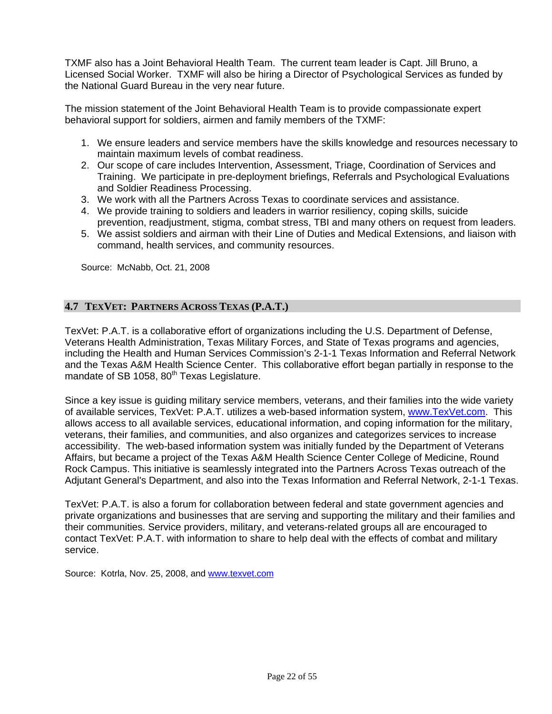<span id="page-21-0"></span>TXMF also has a Joint Behavioral Health Team. The current team leader is Capt. Jill Bruno, a Licensed Social Worker. TXMF will also be hiring a Director of Psychological Services as funded by the National Guard Bureau in the very near future.

The mission statement of the Joint Behavioral Health Team is to provide compassionate expert behavioral support for soldiers, airmen and family members of the TXMF:

- 1. We ensure leaders and service members have the skills knowledge and resources necessary to maintain maximum levels of combat readiness.
- 2. Our scope of care includes Intervention, Assessment, Triage, Coordination of Services and Training. We participate in pre-deployment briefings, Referrals and Psychological Evaluations and Soldier Readiness Processing.
- 3. We work with all the Partners Across Texas to coordinate services and assistance.
- 4. We provide training to soldiers and leaders in warrior resiliency, coping skills, suicide prevention, readjustment, stigma, combat stress, TBI and many others on request from leaders.
- 5. We assist soldiers and airman with their Line of Duties and Medical Extensions, and liaison with command, health services, and community resources.

Source: McNabb, Oct. 21, 2008

## **4.7 TEXVET: PARTNERS ACROSS TEXAS (P.A.T.)**

TexVet: P.A.T. is a collaborative effort of organizations including the U.S. Department of Defense, Veterans Health Administration, Texas Military Forces, and State of Texas programs and agencies, including the Health and Human Services Commission's 2-1-1 Texas Information and Referral Network and the Texas A&M Health Science Center. This collaborative effort began partially in response to the mandate of SB 1058, 80<sup>th</sup> Texas Legislature.

Since a key issue is guiding military service members, veterans, and their families into the wide variety of available services, TexVet: P.A.T. utilizes a web-based information system, [www.TexVet.com](http://www.texvet.com/). This allows access to all available services, educational information, and coping information for the military, veterans, their families, and communities, and also organizes and categorizes services to increase accessibility. The web-based information system was initially funded by the Department of Veterans Affairs, but became a project of the Texas A&M Health Science Center College of Medicine, Round Rock Campus. This initiative is seamlessly integrated into the Partners Across Texas outreach of the Adjutant General's Department, and also into the Texas Information and Referral Network, 2-1-1 Texas.

TexVet: P.A.T. is also a forum for collaboration between federal and state government agencies and private organizations and businesses that are serving and supporting the military and their families and their communities. Service providers, military, and veterans-related groups all are encouraged to contact TexVet: P.A.T. with information to share to help deal with the effects of combat and military service.

Source: Kotrla, Nov. 25, 2008, and [www.texvet.com](http://www.texvet.com/)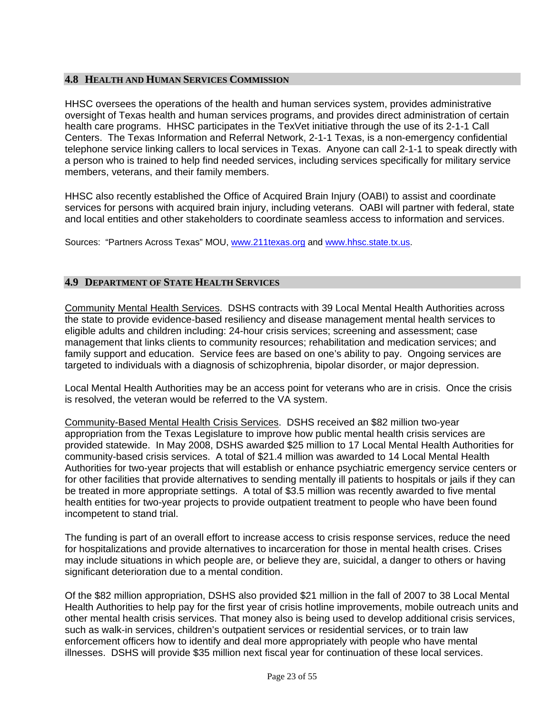## <span id="page-22-0"></span>**4.8 HEALTH AND HUMAN SERVICES COMMISSION**

HHSC oversees the operations of the health and human services system, provides administrative oversight of Texas health and human services programs, and provides direct administration of certain health care programs. HHSC participates in the TexVet initiative through the use of its 2-1-1 Call Centers. The Texas Information and Referral Network, 2-1-1 Texas, is a non-emergency confidential telephone service linking callers to local services in Texas. Anyone can call 2-1-1 to speak directly with a person who is trained to help find needed services, including services specifically for military service members, veterans, and their family members.

HHSC also recently established the Office of Acquired Brain Injury (OABI) to assist and coordinate services for persons with acquired brain injury, including veterans. OABI will partner with federal, state and local entities and other stakeholders to coordinate seamless access to information and services.

Sources: "Partners Across Texas" MOU, [www.211texas.org](http://www.211texas.org/) and [www.hhsc.state.tx.us.](http://www.hhsc.state.tx.us/)

## **4.9 DEPARTMENT OF STATE HEALTH SERVICES**

Community Mental Health Services. DSHS contracts with 39 Local Mental Health Authorities across the state to provide evidence-based resiliency and disease management mental health services to eligible adults and children including: 24-hour crisis services; screening and assessment; case management that links clients to community resources; rehabilitation and medication services; and family support and education. Service fees are based on one's ability to pay. Ongoing services are targeted to individuals with a diagnosis of schizophrenia, bipolar disorder, or major depression.

Local Mental Health Authorities may be an access point for veterans who are in crisis. Once the crisis is resolved, the veteran would be referred to the VA system.

Community-Based Mental Health Crisis Services. DSHS received an \$82 million two-year appropriation from the Texas Legislature to improve how public mental health crisis services are provided statewide. In May 2008, DSHS awarded \$25 million to 17 Local Mental Health Authorities for community-based crisis services. A total of \$21.4 million was awarded to 14 Local Mental Health Authorities for two-year projects that will establish or enhance psychiatric emergency service centers or for other facilities that provide alternatives to sending mentally ill patients to hospitals or jails if they can be treated in more appropriate settings. A total of \$3.5 million was recently awarded to five mental health entities for two-year projects to provide outpatient treatment to people who have been found incompetent to stand trial.

The funding is part of an overall effort to increase access to crisis response services, reduce the need for hospitalizations and provide alternatives to incarceration for those in mental health crises. Crises may include situations in which people are, or believe they are, suicidal, a danger to others or having significant deterioration due to a mental condition.

Of the \$82 million appropriation, DSHS also provided \$21 million in the fall of 2007 to 38 Local Mental Health Authorities to help pay for the first year of crisis hotline improvements, mobile outreach units and other mental health crisis services. That money also is being used to develop additional crisis services, such as walk-in services, children's outpatient services or residential services, or to train law enforcement officers how to identify and deal more appropriately with people who have mental illnesses. DSHS will provide \$35 million next fiscal year for continuation of these local services.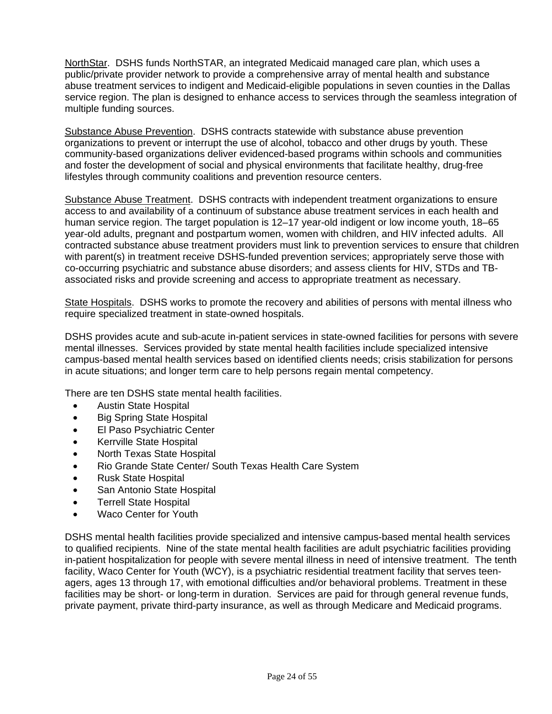NorthStar. DSHS funds NorthSTAR, an integrated Medicaid managed care plan, which uses a public/private provider network to provide a comprehensive array of mental health and substance abuse treatment services to indigent and Medicaid-eligible populations in seven counties in the Dallas service region. The plan is designed to enhance access to services through the seamless integration of multiple funding sources.

Substance Abuse Prevention. DSHS contracts statewide with substance abuse prevention organizations to prevent or interrupt the use of alcohol, tobacco and other drugs by youth. These community-based organizations deliver evidenced-based programs within schools and communities and foster the development of social and physical environments that facilitate healthy, drug-free lifestyles through community coalitions and prevention resource centers.

Substance Abuse Treatment. DSHS contracts with independent treatment organizations to ensure access to and availability of a continuum of substance abuse treatment services in each health and human service region. The target population is 12–17 year-old indigent or low income youth, 18–65 year-old adults, pregnant and postpartum women, women with children, and HIV infected adults. All contracted substance abuse treatment providers must link to prevention services to ensure that children with parent(s) in treatment receive DSHS-funded prevention services; appropriately serve those with co-occurring psychiatric and substance abuse disorders; and assess clients for HIV, STDs and TBassociated risks and provide screening and access to appropriate treatment as necessary.

State Hospitals. DSHS works to promote the recovery and abilities of persons with mental illness who require specialized treatment in state-owned hospitals.

DSHS provides acute and sub-acute in-patient services in state-owned facilities for persons with severe mental illnesses. Services provided by state mental health facilities include specialized intensive campus-based mental health services based on identified clients needs; crisis stabilization for persons in acute situations; and longer term care to help persons regain mental competency.

There are ten DSHS state mental health facilities.

- Austin State Hospital
- Big Spring State Hospital
- El Paso Psychiatric Center
- Kerrville State Hospital
- North Texas State Hospital
- Rio Grande State Center/ South Texas Health Care System
- Rusk State Hospital
- San Antonio State Hospital
- Terrell State Hospital
- Waco Center for Youth

DSHS mental health facilities provide specialized and intensive campus-based mental health services to qualified recipients. Nine of the state mental health facilities are adult psychiatric facilities providing in-patient hospitalization for people with severe mental illness in need of intensive treatment. The tenth facility, Waco Center for Youth (WCY), is a psychiatric residential treatment facility that serves teenagers, ages 13 through 17, with emotional difficulties and/or behavioral problems. Treatment in these facilities may be short- or long-term in duration. Services are paid for through general revenue funds, private payment, private third-party insurance, as well as through Medicare and Medicaid programs.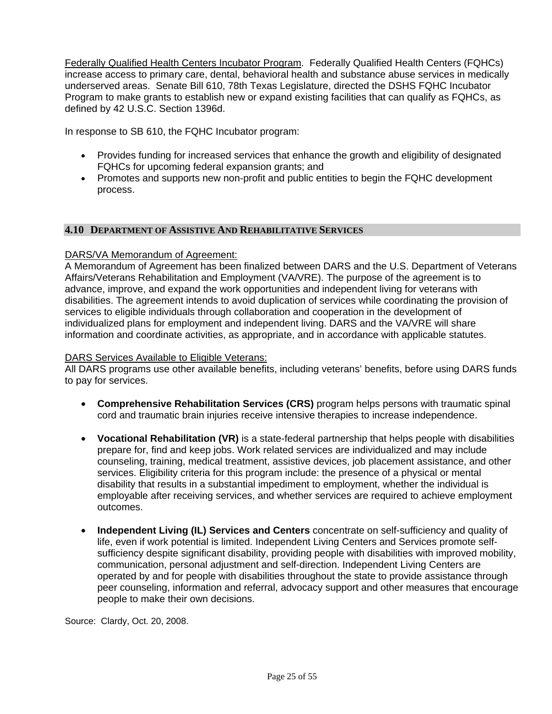<span id="page-24-0"></span>Federally Qualified Health Centers Incubator Program. Federally Qualified Health Centers (FQHCs) increase access to primary care, dental, behavioral health and substance abuse services in medically underserved areas. Senate Bill 610, 78th Texas Legislature, directed the DSHS FQHC Incubator Program to make grants to establish new or expand existing facilities that can qualify as FQHCs, as defined by 42 U.S.C. Section 1396d.

In response to SB 610, the FQHC Incubator program:

- Provides funding for increased services that enhance the growth and eligibility of designated FQHCs for upcoming federal expansion grants; and
- Promotes and supports new non-profit and public entities to begin the FQHC development process.

#### **4.10 DEPARTMENT OF ASSISTIVE AND REHABILITATIVE SERVICES**

#### DARS/VA Memorandum of Agreement:

A Memorandum of Agreement has been finalized between DARS and the U.S. Department of Veterans Affairs/Veterans Rehabilitation and Employment (VA/VRE). The purpose of the agreement is to advance, improve, and expand the work opportunities and independent living for veterans with disabilities. The agreement intends to avoid duplication of services while coordinating the provision of services to eligible individuals through collaboration and cooperation in the development of individualized plans for employment and independent living. DARS and the VA/VRE will share information and coordinate activities, as appropriate, and in accordance with applicable statutes.

#### DARS Services Available to Eligible Veterans:

All DARS programs use other available benefits, including veterans' benefits, before using DARS funds to pay for services.

- **Comprehensive Rehabilitation Services (CRS)** program helps persons with traumatic spinal cord and traumatic brain injuries receive intensive therapies to increase independence.
- **Vocational Rehabilitation (VR)** is a state-federal partnership that helps people with disabilities prepare for, find and keep jobs. Work related services are individualized and may include counseling, training, medical treatment, assistive devices, job placement assistance, and other services. Eligibility criteria for this program include: the presence of a physical or mental disability that results in a substantial impediment to employment, whether the individual is employable after receiving services, and whether services are required to achieve employment outcomes.
- **Independent Living (IL) Services and Centers** concentrate on self-sufficiency and quality of life, even if work potential is limited. Independent Living Centers and Services promote selfsufficiency despite significant disability, providing people with disabilities with improved mobility, communication, personal adjustment and self-direction. Independent Living Centers are operated by and for people with disabilities throughout the state to provide assistance through peer counseling, information and referral, advocacy support and other measures that encourage people to make their own decisions.

Source: Clardy, Oct. 20, 2008.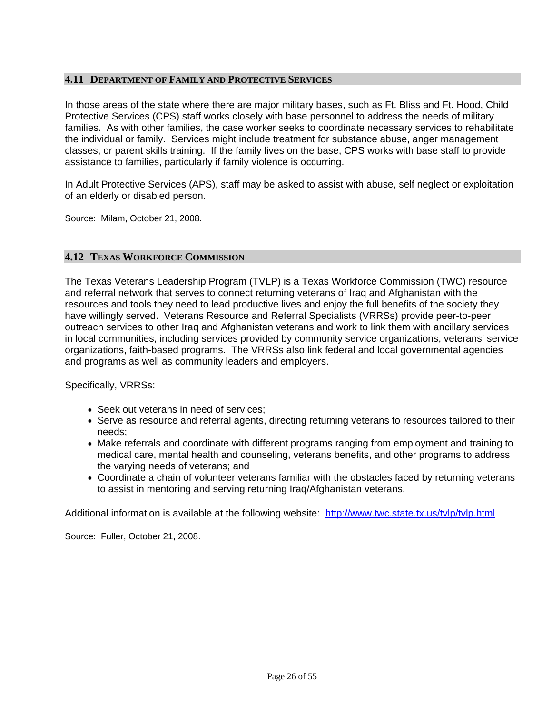## <span id="page-25-0"></span>**4.11 DEPARTMENT OF FAMILY AND PROTECTIVE SERVICES**

In those areas of the state where there are major military bases, such as Ft. Bliss and Ft. Hood, Child Protective Services (CPS) staff works closely with base personnel to address the needs of military families. As with other families, the case worker seeks to coordinate necessary services to rehabilitate the individual or family. Services might include treatment for substance abuse, anger management classes, or parent skills training. If the family lives on the base, CPS works with base staff to provide assistance to families, particularly if family violence is occurring.

In Adult Protective Services (APS), staff may be asked to assist with abuse, self neglect or exploitation of an elderly or disabled person.

Source: Milam, October 21, 2008.

#### **4.12 TEXAS WORKFORCE COMMISSION**

The Texas Veterans Leadership Program (TVLP) is a Texas Workforce Commission (TWC) resource and referral network that serves to connect returning veterans of Iraq and Afghanistan with the resources and tools they need to lead productive lives and enjoy the full benefits of the society they have willingly served. Veterans Resource and Referral Specialists (VRRSs) provide peer-to-peer outreach services to other Iraq and Afghanistan veterans and work to link them with ancillary services in local communities, including services provided by community service organizations, veterans' service organizations, faith-based programs. The VRRSs also link federal and local governmental agencies and programs as well as community leaders and employers.

Specifically, VRRSs:

- Seek out veterans in need of services:
- Serve as resource and referral agents, directing returning veterans to resources tailored to their needs;
- Make referrals and coordinate with different programs ranging from employment and training to medical care, mental health and counseling, veterans benefits, and other programs to address the varying needs of veterans; and
- Coordinate a chain of volunteer veterans familiar with the obstacles faced by returning veterans to assist in mentoring and serving returning Iraq/Afghanistan veterans.

Additional information is available at the following website: <http://www.twc.state.tx.us/tvlp/tvlp.html>

Source: Fuller, October 21, 2008.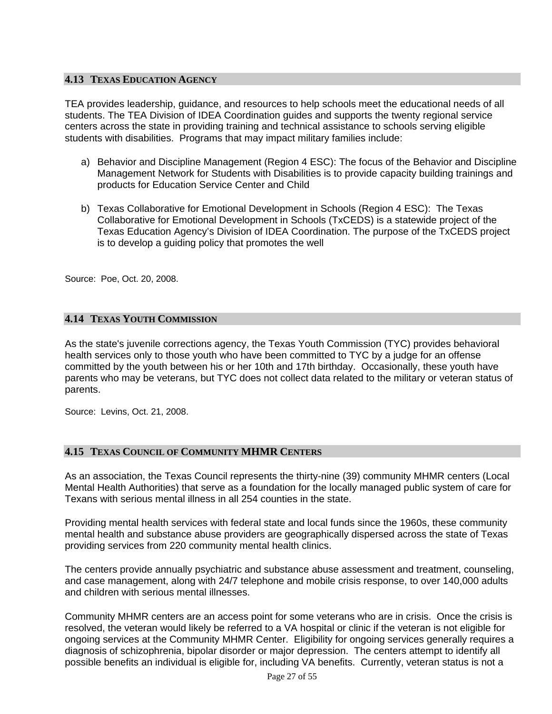## <span id="page-26-0"></span>**4.13 TEXAS EDUCATION AGENCY**

TEA provides leadership, guidance, and resources to help schools meet the educational needs of all students. The TEA Division of IDEA Coordination guides and supports the twenty regional service centers across the state in providing training and technical assistance to schools serving eligible students with disabilities. Programs that may impact military families include:

- a) Behavior and Discipline Management (Region 4 ESC): The focus of the Behavior and Discipline Management Network for Students with Disabilities is to provide capacity building trainings and products for Education Service Center and Child
- b) Texas Collaborative for Emotional Development in Schools (Region 4 ESC): The Texas Collaborative for Emotional Development in Schools (TxCEDS) is a statewide project of the Texas Education Agency's Division of IDEA Coordination. The purpose of the TxCEDS project is to develop a guiding policy that promotes the well

Source: Poe, Oct. 20, 2008.

## **4.14 TEXAS YOUTH COMMISSION**

As the state's juvenile corrections agency, the Texas Youth Commission (TYC) provides behavioral health services only to those youth who have been committed to TYC by a judge for an offense committed by the youth between his or her 10th and 17th birthday. Occasionally, these youth have parents who may be veterans, but TYC does not collect data related to the military or veteran status of parents.

Source: Levins, Oct. 21, 2008.

## **4.15 TEXAS COUNCIL OF COMMUNITY MHMR CENTERS**

As an association, the Texas Council represents the thirty-nine (39) community MHMR centers (Local Mental Health Authorities) that serve as a foundation for the locally managed public system of care for Texans with serious mental illness in all 254 counties in the state.

Providing mental health services with federal state and local funds since the 1960s, these community mental health and substance abuse providers are geographically dispersed across the state of Texas providing services from 220 community mental health clinics.

The centers provide annually psychiatric and substance abuse assessment and treatment, counseling, and case management, along with 24/7 telephone and mobile crisis response, to over 140,000 adults and children with serious mental illnesses.

Community MHMR centers are an access point for some veterans who are in crisis. Once the crisis is resolved, the veteran would likely be referred to a VA hospital or clinic if the veteran is not eligible for ongoing services at the Community MHMR Center. Eligibility for ongoing services generally requires a diagnosis of schizophrenia, bipolar disorder or major depression. The centers attempt to identify all possible benefits an individual is eligible for, including VA benefits. Currently, veteran status is not a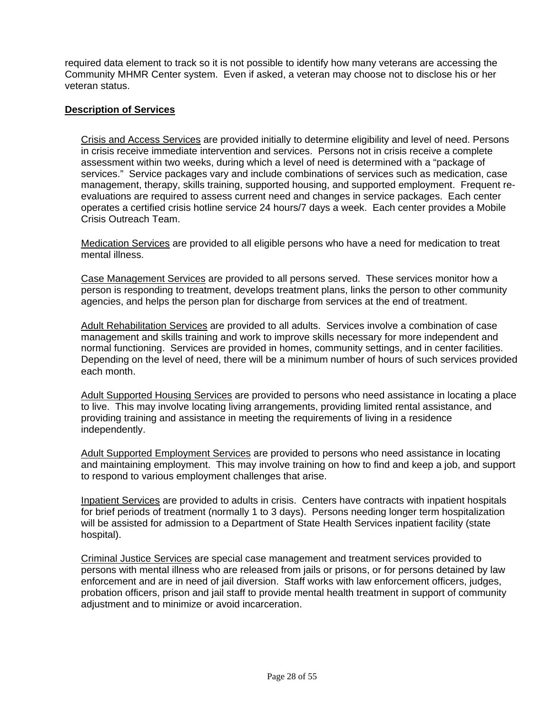required data element to track so it is not possible to identify how many veterans are accessing the Community MHMR Center system. Even if asked, a veteran may choose not to disclose his or her veteran status.

## **Description of Services**

Crisis and Access Services are provided initially to determine eligibility and level of need. Persons in crisis receive immediate intervention and services. Persons not in crisis receive a complete assessment within two weeks, during which a level of need is determined with a "package of services." Service packages vary and include combinations of services such as medication, case management, therapy, skills training, supported housing, and supported employment. Frequent reevaluations are required to assess current need and changes in service packages. Each center operates a certified crisis hotline service 24 hours/7 days a week. Each center provides a Mobile Crisis Outreach Team.

Medication Services are provided to all eligible persons who have a need for medication to treat mental illness.

Case Management Services are provided to all persons served. These services monitor how a person is responding to treatment, develops treatment plans, links the person to other community agencies, and helps the person plan for discharge from services at the end of treatment.

Adult Rehabilitation Services are provided to all adults. Services involve a combination of case management and skills training and work to improve skills necessary for more independent and normal functioning. Services are provided in homes, community settings, and in center facilities. Depending on the level of need, there will be a minimum number of hours of such services provided each month.

Adult Supported Housing Services are provided to persons who need assistance in locating a place to live. This may involve locating living arrangements, providing limited rental assistance, and providing training and assistance in meeting the requirements of living in a residence independently.

Adult Supported Employment Services are provided to persons who need assistance in locating and maintaining employment. This may involve training on how to find and keep a job, and support to respond to various employment challenges that arise.

Inpatient Services are provided to adults in crisis. Centers have contracts with inpatient hospitals for brief periods of treatment (normally 1 to 3 days). Persons needing longer term hospitalization will be assisted for admission to a Department of State Health Services inpatient facility (state hospital).

Criminal Justice Services are special case management and treatment services provided to persons with mental illness who are released from jails or prisons, or for persons detained by law enforcement and are in need of jail diversion. Staff works with law enforcement officers, judges, probation officers, prison and jail staff to provide mental health treatment in support of community adjustment and to minimize or avoid incarceration.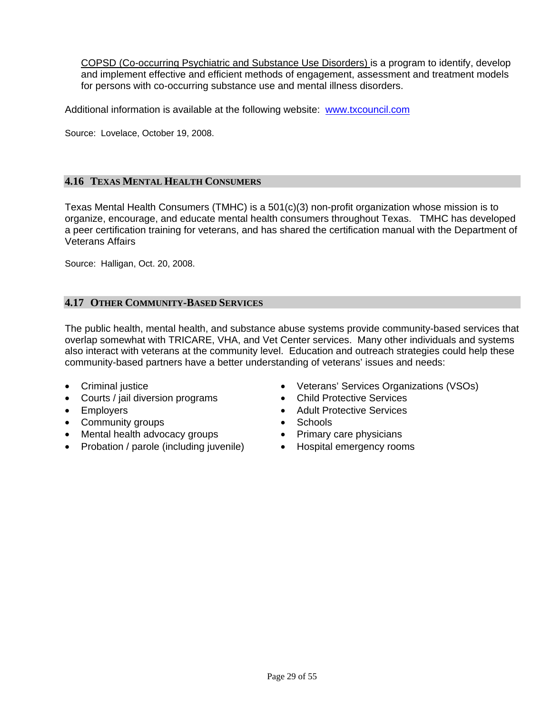<span id="page-28-0"></span>COPSD (Co-occurring Psychiatric and Substance Use Disorders) is a program to identify, develop and implement effective and efficient methods of engagement, assessment and treatment models for persons with co-occurring substance use and mental illness disorders.

Additional information is available at the following website: [www.txcouncil.com](http://www.txcouncil.com/) 

Source: Lovelace, October 19, 2008.

#### **4.16 TEXAS MENTAL HEALTH CONSUMERS**

Texas Mental Health Consumers (TMHC) is a 501(c)(3) non-profit organization whose mission is to organize, encourage, and educate mental health consumers throughout Texas. TMHC has developed a peer certification training for veterans, and has shared the certification manual with the Department of Veterans Affairs

Source: Halligan, Oct. 20, 2008.

## **4.17 OTHER COMMUNITY-BASED SERVICES**

The public health, mental health, and substance abuse systems provide community-based services that overlap somewhat with TRICARE, VHA, and Vet Center services. Many other individuals and systems also interact with veterans at the community level. Education and outreach strategies could help these community-based partners have a better understanding of veterans' issues and needs:

- Criminal justice
- Courts / jail diversion programs
- Employers
- Community groups
- Mental health advocacy groups
- Probation / parole (including juvenile)
- Veterans' Services Organizations (VSOs)
- Child Protective Services
- Adult Protective Services
- Schools
- Primary care physicians
- Hospital emergency rooms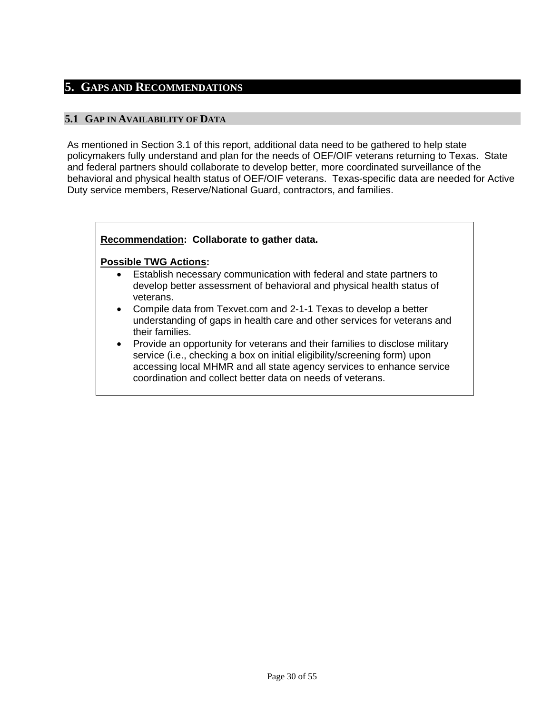## <span id="page-29-0"></span>**5. GAPS AND RECOMMENDATIONS**

## **5.1 GAP IN AVAILABILITY OF DATA**

As mentioned in Section 3.1 of this report, additional data need to be gathered to help state policymakers fully understand and plan for the needs of OEF/OIF veterans returning to Texas. State and federal partners should collaborate to develop better, more coordinated surveillance of the behavioral and physical health status of OEF/OIF veterans. Texas-specific data are needed for Active Duty service members, Reserve/National Guard, contractors, and families.

## **Recommendation: Collaborate to gather data.**

- Establish necessary communication with federal and state partners to develop better assessment of behavioral and physical health status of veterans.
- Compile data from Texvet.com and 2-1-1 Texas to develop a better understanding of gaps in health care and other services for veterans and their families.
- Provide an opportunity for veterans and their families to disclose military service (i.e., checking a box on initial eligibility/screening form) upon accessing local MHMR and all state agency services to enhance service coordination and collect better data on needs of veterans.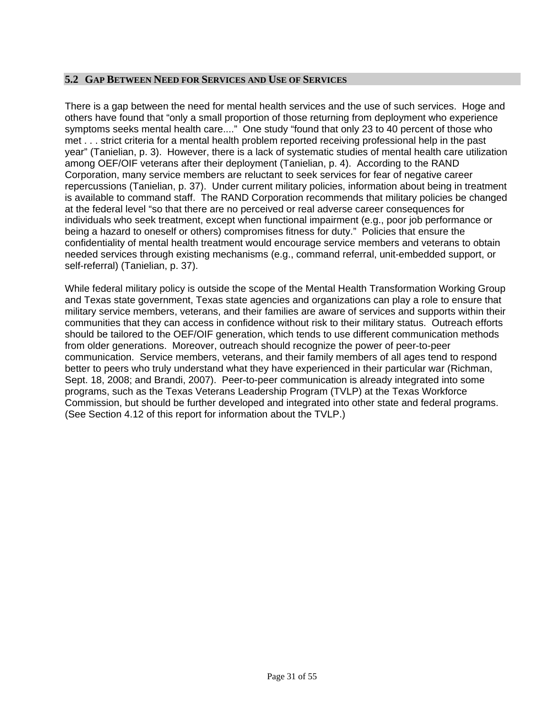## <span id="page-30-0"></span>**5.2 GAP BETWEEN NEED FOR SERVICES AND USE OF SERVICES**

There is a gap between the need for mental health services and the use of such services. Hoge and others have found that "only a small proportion of those returning from deployment who experience symptoms seeks mental health care...." One study "found that only 23 to 40 percent of those who met . . . strict criteria for a mental health problem reported receiving professional help in the past year" (Tanielian, p. 3). However, there is a lack of systematic studies of mental health care utilization among OEF/OIF veterans after their deployment (Tanielian, p. 4). According to the RAND Corporation, many service members are reluctant to seek services for fear of negative career repercussions (Tanielian, p. 37). Under current military policies, information about being in treatment is available to command staff. The RAND Corporation recommends that military policies be changed at the federal level "so that there are no perceived or real adverse career consequences for individuals who seek treatment, except when functional impairment (e.g., poor job performance or being a hazard to oneself or others) compromises fitness for duty." Policies that ensure the confidentiality of mental health treatment would encourage service members and veterans to obtain needed services through existing mechanisms (e.g., command referral, unit-embedded support, or self-referral) (Tanielian, p. 37).

While federal military policy is outside the scope of the Mental Health Transformation Working Group and Texas state government, Texas state agencies and organizations can play a role to ensure that military service members, veterans, and their families are aware of services and supports within their communities that they can access in confidence without risk to their military status. Outreach efforts should be tailored to the OEF/OIF generation, which tends to use different communication methods from older generations. Moreover, outreach should recognize the power of peer-to-peer communication. Service members, veterans, and their family members of all ages tend to respond better to peers who truly understand what they have experienced in their particular war (Richman, Sept. 18, 2008; and Brandi, 2007). Peer-to-peer communication is already integrated into some programs, such as the Texas Veterans Leadership Program (TVLP) at the Texas Workforce Commission, but should be further developed and integrated into other state and federal programs. (See Section 4.12 of this report for information about the TVLP.)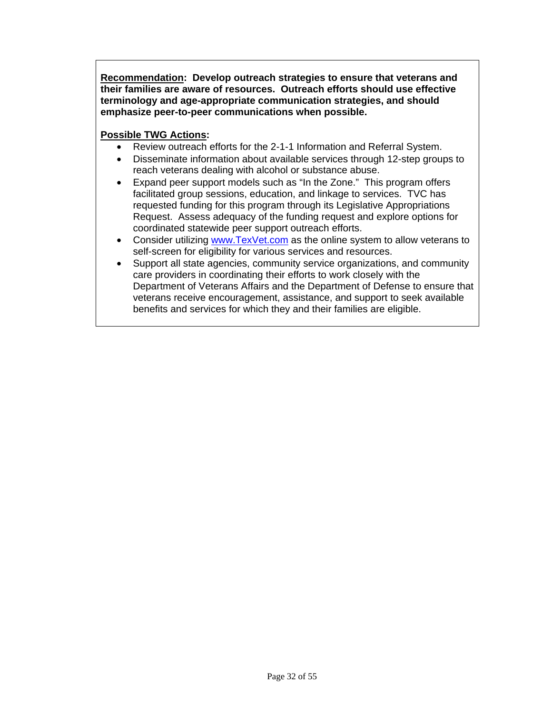**Recommendation: Develop outreach strategies to ensure that veterans and their families are aware of resources. Outreach efforts should use effective terminology and age-appropriate communication strategies, and should emphasize peer-to-peer communications when possible.** 

- Review outreach efforts for the 2-1-1 Information and Referral System.
- Disseminate information about available services through 12-step groups to reach veterans dealing with alcohol or substance abuse.
- Expand peer support models such as "In the Zone." This program offers facilitated group sessions, education, and linkage to services. TVC has requested funding for this program through its Legislative Appropriations Request. Assess adequacy of the funding request and explore options for coordinated statewide peer support outreach efforts.
- Consider utilizing [www.TexVet.com](http://www.texvet.com/) as the online system to allow veterans to self-screen for eligibility for various services and resources.
- Support all state agencies, community service organizations, and community care providers in coordinating their efforts to work closely with the Department of Veterans Affairs and the Department of Defense to ensure that veterans receive encouragement, assistance, and support to seek available benefits and services for which they and their families are eligible.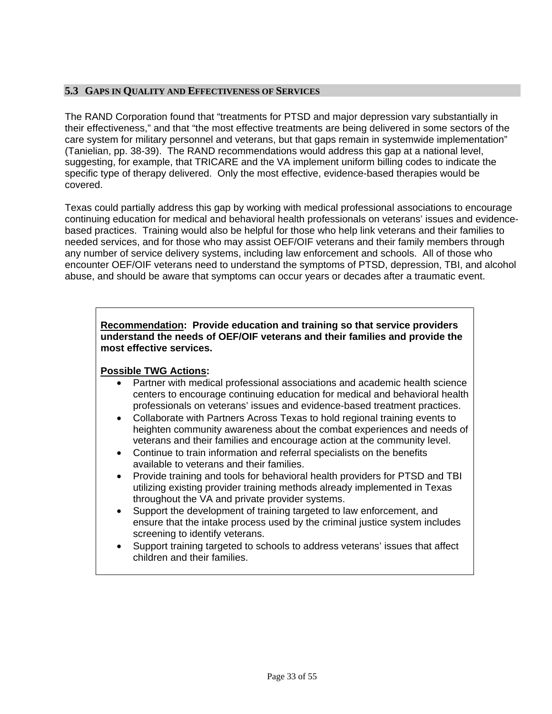## <span id="page-32-0"></span>**5.3 GAPS IN QUALITY AND EFFECTIVENESS OF SERVICES**

The RAND Corporation found that "treatments for PTSD and major depression vary substantially in their effectiveness," and that "the most effective treatments are being delivered in some sectors of the care system for military personnel and veterans, but that gaps remain in systemwide implementation" (Tanielian, pp. 38-39). The RAND recommendations would address this gap at a national level, suggesting, for example, that TRICARE and the VA implement uniform billing codes to indicate the specific type of therapy delivered. Only the most effective, evidence-based therapies would be covered.

Texas could partially address this gap by working with medical professional associations to encourage continuing education for medical and behavioral health professionals on veterans' issues and evidencebased practices. Training would also be helpful for those who help link veterans and their families to needed services, and for those who may assist OEF/OIF veterans and their family members through any number of service delivery systems, including law enforcement and schools. All of those who encounter OEF/OIF veterans need to understand the symptoms of PTSD, depression, TBI, and alcohol abuse, and should be aware that symptoms can occur years or decades after a traumatic event.

## **Recommendation: Provide education and training so that service providers understand the needs of OEF/OIF veterans and their families and provide the most effective services.**

- Partner with medical professional associations and academic health science centers to encourage continuing education for medical and behavioral health professionals on veterans' issues and evidence-based treatment practices.
- Collaborate with Partners Across Texas to hold regional training events to heighten community awareness about the combat experiences and needs of veterans and their families and encourage action at the community level.
- Continue to train information and referral specialists on the benefits available to veterans and their families.
- Provide training and tools for behavioral health providers for PTSD and TBI utilizing existing provider training methods already implemented in Texas throughout the VA and private provider systems.
- Support the development of training targeted to law enforcement, and ensure that the intake process used by the criminal justice system includes screening to identify veterans.
- Support training targeted to schools to address veterans' issues that affect children and their families.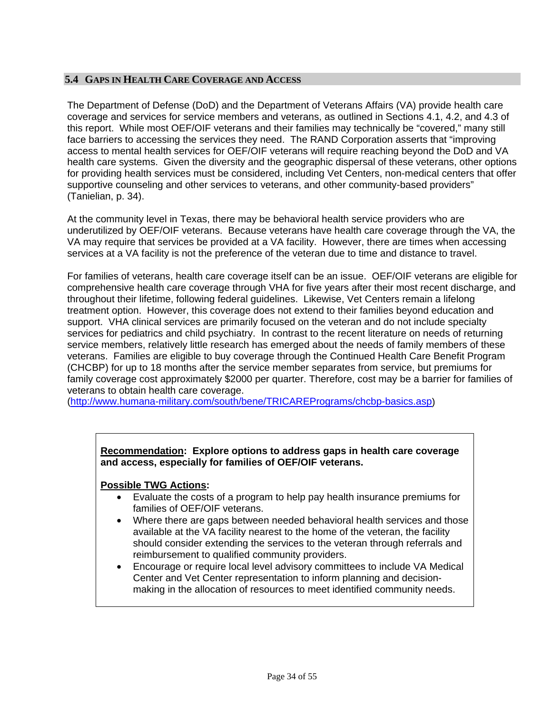## <span id="page-33-0"></span>**5.4 GAPS IN HEALTH CARE COVERAGE AND ACCESS**

The Department of Defense (DoD) and the Department of Veterans Affairs (VA) provide health care coverage and services for service members and veterans, as outlined in Sections 4.1, 4.2, and 4.3 of this report. While most OEF/OIF veterans and their families may technically be "covered," many still face barriers to accessing the services they need. The RAND Corporation asserts that "improving access to mental health services for OEF/OIF veterans will require reaching beyond the DoD and VA health care systems. Given the diversity and the geographic dispersal of these veterans, other options for providing health services must be considered, including Vet Centers, non-medical centers that offer supportive counseling and other services to veterans, and other community-based providers" (Tanielian, p. 34).

At the community level in Texas, there may be behavioral health service providers who are underutilized by OEF/OIF veterans. Because veterans have health care coverage through the VA, the VA may require that services be provided at a VA facility. However, there are times when accessing services at a VA facility is not the preference of the veteran due to time and distance to travel.

For families of veterans, health care coverage itself can be an issue. OEF/OIF veterans are eligible for comprehensive health care coverage through VHA for five years after their most recent discharge, and throughout their lifetime, following federal guidelines. Likewise, Vet Centers remain a lifelong treatment option. However, this coverage does not extend to their families beyond education and support. VHA clinical services are primarily focused on the veteran and do not include specialty services for pediatrics and child psychiatry. In contrast to the recent literature on needs of returning service members, relatively little research has emerged about the needs of family members of these veterans. Families are eligible to buy coverage through the Continued Health Care Benefit Program (CHCBP) for up to 18 months after the service member separates from service, but premiums for family coverage cost approximately \$2000 per quarter. Therefore, cost may be a barrier for families of veterans to obtain health care coverage.

[\(http://www.humana-military.com/south/bene/TRICAREPrograms/chcbp-basics.asp](http://www.humana-military.com/south/bene/TRICAREPrograms/chcbp-basics.asp))

## **Recommendation: Explore options to address gaps in health care coverage and access, especially for families of OEF/OIF veterans.**

- Evaluate the costs of a program to help pay health insurance premiums for families of OEF/OIF veterans.
- Where there are gaps between needed behavioral health services and those available at the VA facility nearest to the home of the veteran, the facility should consider extending the services to the veteran through referrals and reimbursement to qualified community providers.
- Encourage or require local level advisory committees to include VA Medical Center and Vet Center representation to inform planning and decisionmaking in the allocation of resources to meet identified community needs.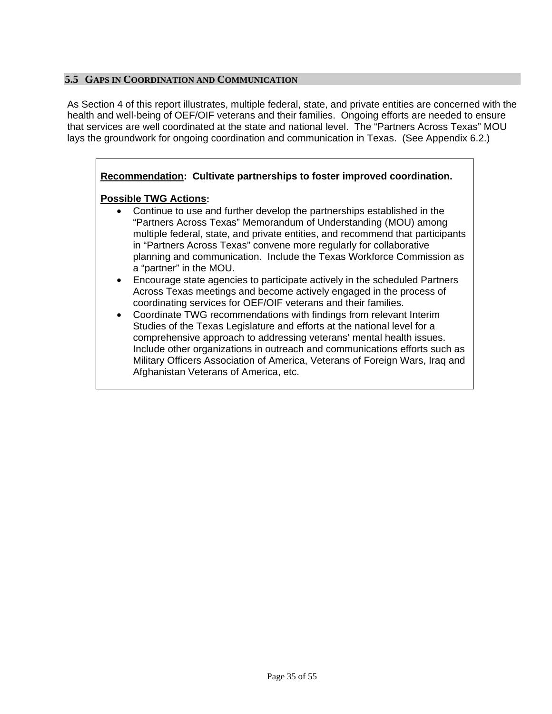## <span id="page-34-0"></span>**5.5 GAPS IN COORDINATION AND COMMUNICATION**

As Section 4 of this report illustrates, multiple federal, state, and private entities are concerned with the health and well-being of OEF/OIF veterans and their families. Ongoing efforts are needed to ensure that services are well coordinated at the state and national level. The "Partners Across Texas" MOU lays the groundwork for ongoing coordination and communication in Texas. (See Appendix 6.2.)

## **Recommendation: Cultivate partnerships to foster improved coordination. Possible TWG Actions:**  Continue to use and further develop the partnerships established in the "Partners Across Texas" Memorandum of Understanding (MOU) among multiple federal, state, and private entities, and recommend that participants in "Partners Across Texas" convene more regularly for collaborative planning and communication. Include the Texas Workforce Commission as a "partner" in the MOU. Encourage state agencies to participate actively in the scheduled Partners Across Texas meetings and become actively engaged in the process of

coordinating services for OEF/OIF veterans and their families. Coordinate TWG recommendations with findings from relevant Interim Studies of the Texas Legislature and efforts at the national level for a comprehensive approach to addressing veterans' mental health issues. Include other organizations in outreach and communications efforts such as Military Officers Association of America, Veterans of Foreign Wars, Iraq and Afghanistan Veterans of America, etc.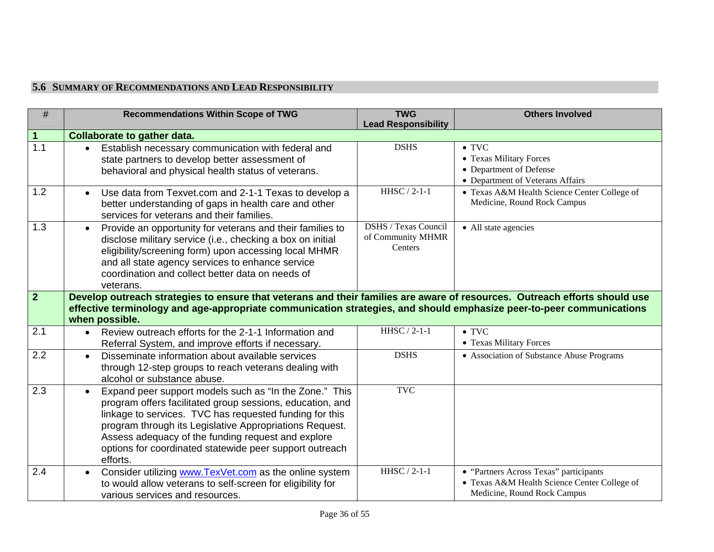## **5.6 SUMMARY OF RECOMMENDATIONS AND LEAD RESPONSIBILITY**

<span id="page-35-0"></span>

| $\#$             | <b>Recommendations Within Scope of TWG</b>                                                                                                                                                                                                                                                                                                                             | <b>TWG</b>                                                  | <b>Others Involved</b>                                                                                                |
|------------------|------------------------------------------------------------------------------------------------------------------------------------------------------------------------------------------------------------------------------------------------------------------------------------------------------------------------------------------------------------------------|-------------------------------------------------------------|-----------------------------------------------------------------------------------------------------------------------|
|                  |                                                                                                                                                                                                                                                                                                                                                                        | <b>Lead Responsibility</b>                                  |                                                                                                                       |
| $\mathbf 1$      | <b>Collaborate to gather data.</b>                                                                                                                                                                                                                                                                                                                                     |                                                             |                                                                                                                       |
| $\overline{1.1}$ | Establish necessary communication with federal and<br>state partners to develop better assessment of<br>behavioral and physical health status of veterans.                                                                                                                                                                                                             | <b>DSHS</b>                                                 | $\bullet$ TVC<br>• Texas Military Forces<br>• Department of Defense<br>• Department of Veterans Affairs               |
| 1.2              | Use data from Texvet.com and 2-1-1 Texas to develop a<br>$\bullet$<br>better understanding of gaps in health care and other<br>services for veterans and their families.                                                                                                                                                                                               | HHSC / 2-1-1                                                | • Texas A&M Health Science Center College of<br>Medicine, Round Rock Campus                                           |
| 1.3              | Provide an opportunity for veterans and their families to<br>$\bullet$<br>disclose military service (i.e., checking a box on initial<br>eligibility/screening form) upon accessing local MHMR<br>and all state agency services to enhance service<br>coordination and collect better data on needs of<br>veterans.                                                     | <b>DSHS / Texas Council</b><br>of Community MHMR<br>Centers | • All state agencies                                                                                                  |
| $\overline{2}$   | Develop outreach strategies to ensure that veterans and their families are aware of resources. Outreach efforts should use<br>effective terminology and age-appropriate communication strategies, and should emphasize peer-to-peer communications<br>when possible.                                                                                                   |                                                             |                                                                                                                       |
| 2.1              | Review outreach efforts for the 2-1-1 Information and<br>$\bullet$<br>Referral System, and improve efforts if necessary.                                                                                                                                                                                                                                               | HHSC $/2$ -1-1                                              | $\bullet$ TVC<br>• Texas Military Forces                                                                              |
| 2.2              | Disseminate information about available services<br>$\bullet$<br>through 12-step groups to reach veterans dealing with<br>alcohol or substance abuse.                                                                                                                                                                                                                  | <b>DSHS</b>                                                 | • Association of Substance Abuse Programs                                                                             |
| 2.3              | Expand peer support models such as "In the Zone." This<br>program offers facilitated group sessions, education, and<br>linkage to services. TVC has requested funding for this<br>program through its Legislative Appropriations Request.<br>Assess adequacy of the funding request and explore<br>options for coordinated statewide peer support outreach<br>efforts. | <b>TVC</b>                                                  |                                                                                                                       |
| 2.4              | Consider utilizing www.TexVet.com as the online system<br>to would allow veterans to self-screen for eligibility for<br>various services and resources.                                                                                                                                                                                                                | HHSC / 2-1-1                                                | • "Partners Across Texas" participants<br>• Texas A&M Health Science Center College of<br>Medicine, Round Rock Campus |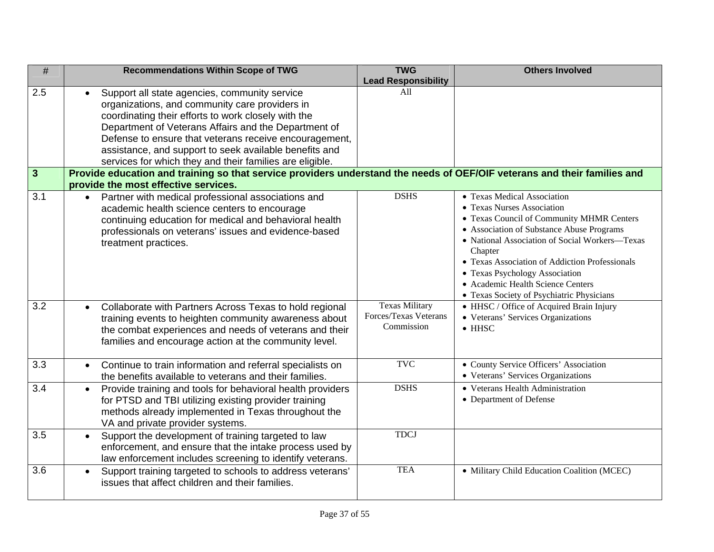| $\#$             | <b>Recommendations Within Scope of TWG</b>                                                                               | <b>TWG</b>                 | <b>Others Involved</b>                                                           |
|------------------|--------------------------------------------------------------------------------------------------------------------------|----------------------------|----------------------------------------------------------------------------------|
|                  |                                                                                                                          | <b>Lead Responsibility</b> |                                                                                  |
| 2.5              | Support all state agencies, community service<br>$\bullet$                                                               | A11                        |                                                                                  |
|                  | organizations, and community care providers in                                                                           |                            |                                                                                  |
|                  | coordinating their efforts to work closely with the                                                                      |                            |                                                                                  |
|                  | Department of Veterans Affairs and the Department of                                                                     |                            |                                                                                  |
|                  | Defense to ensure that veterans receive encouragement,                                                                   |                            |                                                                                  |
|                  | assistance, and support to seek available benefits and                                                                   |                            |                                                                                  |
|                  | services for which they and their families are eligible.                                                                 |                            |                                                                                  |
| $\mathbf{3}$     | Provide education and training so that service providers understand the needs of OEF/OIF veterans and their families and |                            |                                                                                  |
|                  | provide the most effective services.                                                                                     |                            |                                                                                  |
| $\overline{3.1}$ | Partner with medical professional associations and                                                                       | <b>DSHS</b>                | • Texas Medical Association                                                      |
|                  | academic health science centers to encourage                                                                             |                            | • Texas Nurses Association                                                       |
|                  | continuing education for medical and behavioral health                                                                   |                            | • Texas Council of Community MHMR Centers                                        |
|                  | professionals on veterans' issues and evidence-based                                                                     |                            | • Association of Substance Abuse Programs                                        |
|                  | treatment practices.                                                                                                     |                            | • National Association of Social Workers-Texas                                   |
|                  |                                                                                                                          |                            | Chapter                                                                          |
|                  |                                                                                                                          |                            | • Texas Association of Addiction Professionals<br>• Texas Psychology Association |
|                  |                                                                                                                          |                            | • Academic Health Science Centers                                                |
|                  |                                                                                                                          |                            | • Texas Society of Psychiatric Physicians                                        |
| 3.2              | Collaborate with Partners Across Texas to hold regional<br>$\bullet$                                                     | <b>Texas Military</b>      | • HHSC / Office of Acquired Brain Injury                                         |
|                  | training events to heighten community awareness about                                                                    | Forces/Texas Veterans      | • Veterans' Services Organizations                                               |
|                  | the combat experiences and needs of veterans and their                                                                   | Commission                 | $\bullet$ HHSC                                                                   |
|                  | families and encourage action at the community level.                                                                    |                            |                                                                                  |
|                  |                                                                                                                          |                            |                                                                                  |
| $\overline{3.3}$ | Continue to train information and referral specialists on<br>$\bullet$                                                   | <b>TVC</b>                 | • County Service Officers' Association                                           |
|                  | the benefits available to veterans and their families.                                                                   |                            | • Veterans' Services Organizations                                               |
| 3.4              | Provide training and tools for behavioral health providers<br>$\bullet$                                                  | <b>DSHS</b>                | • Veterans Health Administration                                                 |
|                  | for PTSD and TBI utilizing existing provider training                                                                    |                            | • Department of Defense                                                          |
|                  | methods already implemented in Texas throughout the                                                                      |                            |                                                                                  |
|                  | VA and private provider systems.                                                                                         |                            |                                                                                  |
| 3.5              | Support the development of training targeted to law<br>$\bullet$                                                         | <b>TDCJ</b>                |                                                                                  |
|                  | enforcement, and ensure that the intake process used by                                                                  |                            |                                                                                  |
|                  | law enforcement includes screening to identify veterans.                                                                 |                            |                                                                                  |
| 3.6              | Support training targeted to schools to address veterans'<br>$\bullet$                                                   | <b>TEA</b>                 | · Military Child Education Coalition (MCEC)                                      |
|                  | issues that affect children and their families.                                                                          |                            |                                                                                  |
|                  |                                                                                                                          |                            |                                                                                  |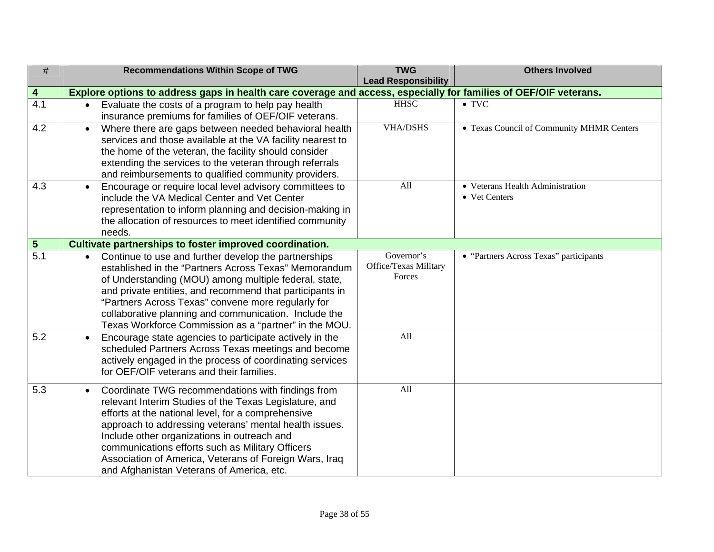| $\#$                    | <b>Recommendations Within Scope of TWG</b>                                                                       | <b>TWG</b>                      | <b>Others Involved</b>                    |  |  |  |
|-------------------------|------------------------------------------------------------------------------------------------------------------|---------------------------------|-------------------------------------------|--|--|--|
|                         |                                                                                                                  | <b>Lead Responsibility</b>      |                                           |  |  |  |
| $\overline{\mathbf{4}}$ | Explore options to address gaps in health care coverage and access, especially for families of OEF/OIF veterans. |                                 |                                           |  |  |  |
| 4.1                     | Evaluate the costs of a program to help pay health<br>$\bullet$                                                  | <b>HHSC</b>                     | $\bullet$ TVC                             |  |  |  |
|                         | insurance premiums for families of OEF/OIF veterans.                                                             |                                 |                                           |  |  |  |
| 4.2                     | Where there are gaps between needed behavioral health<br>$\bullet$                                               | <b>VHA/DSHS</b>                 | • Texas Council of Community MHMR Centers |  |  |  |
|                         | services and those available at the VA facility nearest to                                                       |                                 |                                           |  |  |  |
|                         | the home of the veteran, the facility should consider                                                            |                                 |                                           |  |  |  |
|                         | extending the services to the veteran through referrals                                                          |                                 |                                           |  |  |  |
|                         | and reimbursements to qualified community providers.                                                             |                                 |                                           |  |  |  |
| 4.3                     | Encourage or require local level advisory committees to                                                          | All                             | • Veterans Health Administration          |  |  |  |
|                         | include the VA Medical Center and Vet Center                                                                     |                                 | • Vet Centers                             |  |  |  |
|                         | representation to inform planning and decision-making in                                                         |                                 |                                           |  |  |  |
|                         | the allocation of resources to meet identified community                                                         |                                 |                                           |  |  |  |
|                         | needs.                                                                                                           |                                 |                                           |  |  |  |
| $5\phantom{.0}$         | Cultivate partnerships to foster improved coordination.                                                          |                                 |                                           |  |  |  |
| $\overline{5.1}$        | Continue to use and further develop the partnerships                                                             | Governor's                      | • "Partners Across Texas" participants    |  |  |  |
|                         | established in the "Partners Across Texas" Memorandum                                                            | Office/Texas Military<br>Forces |                                           |  |  |  |
|                         | of Understanding (MOU) among multiple federal, state,                                                            |                                 |                                           |  |  |  |
|                         | and private entities, and recommend that participants in                                                         |                                 |                                           |  |  |  |
|                         | "Partners Across Texas" convene more regularly for                                                               |                                 |                                           |  |  |  |
|                         | collaborative planning and communication. Include the                                                            |                                 |                                           |  |  |  |
|                         | Texas Workforce Commission as a "partner" in the MOU.                                                            |                                 |                                           |  |  |  |
| $\overline{5.2}$        | Encourage state agencies to participate actively in the<br>$\bullet$                                             | All                             |                                           |  |  |  |
|                         | scheduled Partners Across Texas meetings and become                                                              |                                 |                                           |  |  |  |
|                         | actively engaged in the process of coordinating services                                                         |                                 |                                           |  |  |  |
|                         | for OEF/OIF veterans and their families.                                                                         |                                 |                                           |  |  |  |
| 5.3                     | Coordinate TWG recommendations with findings from<br>$\bullet$                                                   | All                             |                                           |  |  |  |
|                         | relevant Interim Studies of the Texas Legislature, and                                                           |                                 |                                           |  |  |  |
|                         | efforts at the national level, for a comprehensive                                                               |                                 |                                           |  |  |  |
|                         | approach to addressing veterans' mental health issues.                                                           |                                 |                                           |  |  |  |
|                         | Include other organizations in outreach and                                                                      |                                 |                                           |  |  |  |
|                         | communications efforts such as Military Officers                                                                 |                                 |                                           |  |  |  |
|                         | Association of America, Veterans of Foreign Wars, Iraq                                                           |                                 |                                           |  |  |  |
|                         | and Afghanistan Veterans of America, etc.                                                                        |                                 |                                           |  |  |  |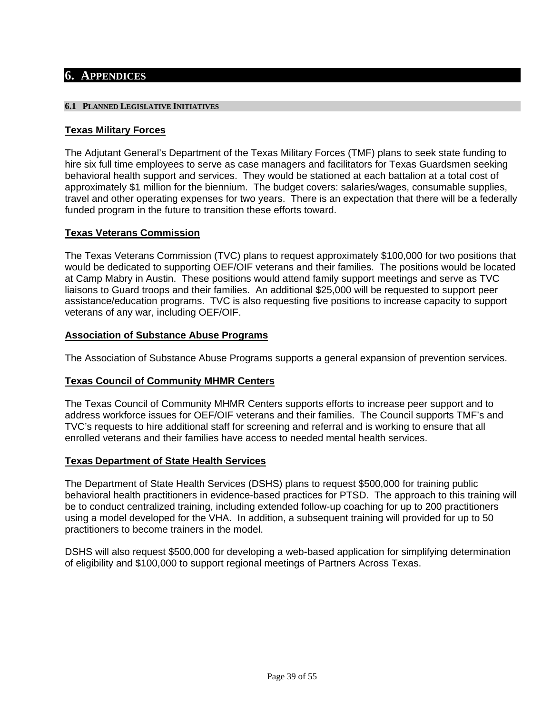## <span id="page-38-0"></span>**6. APPENDICES**

#### **6.1 PLANNED LEGISLATIVE INITIATIVES**

#### **Texas Military Forces**

The Adjutant General's Department of the Texas Military Forces (TMF) plans to seek state funding to hire six full time employees to serve as case managers and facilitators for Texas Guardsmen seeking behavioral health support and services. They would be stationed at each battalion at a total cost of approximately \$1 million for the biennium. The budget covers: salaries/wages, consumable supplies, travel and other operating expenses for two years. There is an expectation that there will be a federally funded program in the future to transition these efforts toward.

## **Texas Veterans Commission**

The Texas Veterans Commission (TVC) plans to request approximately \$100,000 for two positions that would be dedicated to supporting OEF/OIF veterans and their families. The positions would be located at Camp Mabry in Austin. These positions would attend family support meetings and serve as TVC liaisons to Guard troops and their families. An additional \$25,000 will be requested to support peer assistance/education programs. TVC is also requesting five positions to increase capacity to support veterans of any war, including OEF/OIF.

#### **Association of Substance Abuse Programs**

The Association of Substance Abuse Programs supports a general expansion of prevention services.

## **Texas Council of Community MHMR Centers**

The Texas Council of Community MHMR Centers supports efforts to increase peer support and to address workforce issues for OEF/OIF veterans and their families. The Council supports TMF's and TVC's requests to hire additional staff for screening and referral and is working to ensure that all enrolled veterans and their families have access to needed mental health services.

#### **Texas Department of State Health Services**

The Department of State Health Services (DSHS) plans to request \$500,000 for training public behavioral health practitioners in evidence-based practices for PTSD. The approach to this training will be to conduct centralized training, including extended follow-up coaching for up to 200 practitioners using a model developed for the VHA. In addition, a subsequent training will provided for up to 50 practitioners to become trainers in the model.

DSHS will also request \$500,000 for developing a web-based application for simplifying determination of eligibility and \$100,000 to support regional meetings of Partners Across Texas.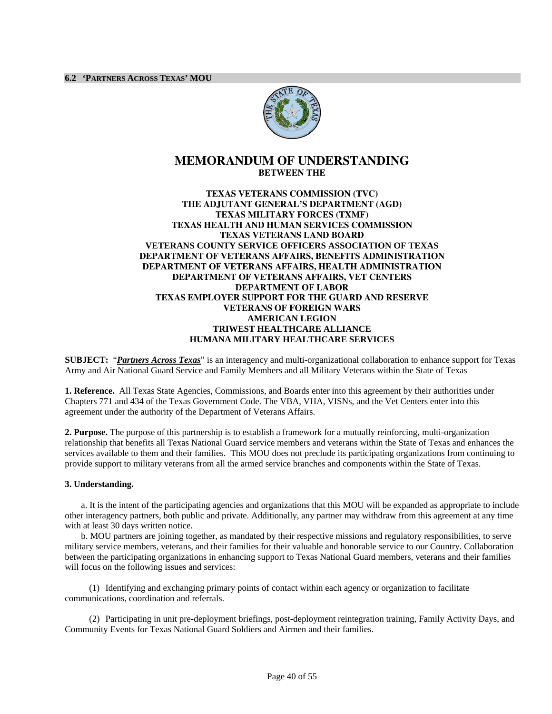

## <span id="page-39-0"></span>**MEMORANDUM OF UNDERSTANDING BETWEEN THE**

#### **TEXAS VETERANS COMMISSION (TVC) THE ADJUTANT GENERAL'S DEPARTMENT (AGD) TEXAS MILITARY FORCES (TXMF) TEXAS HEALTH AND HUMAN SERVICES COMMISSION TEXAS VETERANS LAND BOARD VETERANS COUNTY SERVICE OFFICERS ASSOCIATION OF TEXAS DEPARTMENT OF VETERANS AFFAIRS, BENEFITS ADMINISTRATION DEPARTMENT OF VETERANS AFFAIRS, HEALTH ADMINISTRATION DEPARTMENT OF VETERANS AFFAIRS, VET CENTERS DEPARTMENT OF LABOR TEXAS EMPLOYER SUPPORT FOR THE GUARD AND RESERVE VETERANS OF FOREIGN WARS AMERICAN LEGION TRIWEST HEALTHCARE ALLIANCE HUMANA MILITARY HEALTHCARE SERVICES**

**SUBJECT:** "*Partners Across Texas*" is an interagency and multi-organizational collaboration to enhance support for Texas Army and Air National Guard Service and Family Members and all Military Veterans within the State of Texas

**1. Reference.** All Texas State Agencies, Commissions, and Boards enter into this agreement by their authorities under Chapters 771 and 434 of the Texas Government Code. The VBA, VHA, VISNs, and the Vet Centers enter into this agreement under the authority of the Department of Veterans Affairs.

**2. Purpose.** The purpose of this partnership is to establish a framework for a mutually reinforcing, multi-organization relationship that benefits all Texas National Guard service members and veterans within the State of Texas and enhances the services available to them and their families. This MOU does not preclude its participating organizations from continuing to provide support to military veterans from all the armed service branches and components within the State of Texas.

#### **3. Understanding.**

a. It is the intent of the participating agencies and organizations that this MOU will be expanded as appropriate to include other interagency partners, both public and private. Additionally, any partner may withdraw from this agreement at any time with at least 30 days written notice.

b. MOU partners are joining together, as mandated by their respective missions and regulatory responsibilities, to serve military service members, veterans, and their families for their valuable and honorable service to our Country. Collaboration between the participating organizations in enhancing support to Texas National Guard members, veterans and their families will focus on the following issues and services:

(1) Identifying and exchanging primary points of contact within each agency or organization to facilitate communications, coordination and referrals.

(2) Participating in unit pre-deployment briefings, post-deployment reintegration training, Family Activity Days, and Community Events for Texas National Guard Soldiers and Airmen and their families.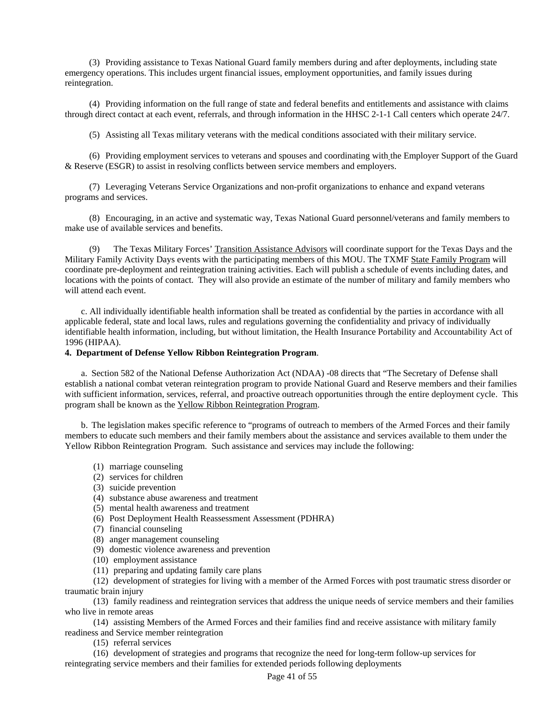(3) Providing assistance to Texas National Guard family members during and after deployments, including state emergency operations. This includes urgent financial issues, employment opportunities, and family issues during reintegration.

(4) Providing information on the full range of state and federal benefits and entitlements and assistance with claims through direct contact at each event, referrals, and through information in the HHSC 2-1-1 Call centers which operate 24/7.

(5) Assisting all Texas military veterans with the medical conditions associated with their military service.

(6) Providing employment services to veterans and spouses and coordinating with the Employer Support of the Guard & Reserve (ESGR) to assist in resolving conflicts between service members and employers.

(7) Leveraging Veterans Service Organizations and non-profit organizations to enhance and expand veterans programs and services.

(8) Encouraging, in an active and systematic way, Texas National Guard personnel/veterans and family members to make use of available services and benefits.

(9) The Texas Military Forces' Transition Assistance Advisors will coordinate support for the Texas Days and the Military Family Activity Days events with the participating members of this MOU. The TXMF State Family Program will coordinate pre-deployment and reintegration training activities. Each will publish a schedule of events including dates, and locations with the points of contact. They will also provide an estimate of the number of military and family members who will attend each event.

c. All individually identifiable health information shall be treated as confidential by the parties in accordance with all applicable federal, state and local laws, rules and regulations governing the confidentiality and privacy of individually identifiable health information, including, but without limitation, the Health Insurance Portability and Accountability Act of 1996 (HIPAA).

#### **4. Department of Defense Yellow Ribbon Reintegration Program**.

a. Section 582 of the National Defense Authorization Act (NDAA) -08 directs that "The Secretary of Defense shall establish a national combat veteran reintegration program to provide National Guard and Reserve members and their families with sufficient information, services, referral, and proactive outreach opportunities through the entire deployment cycle. This program shall be known as the Yellow Ribbon Reintegration Program.

b. The legislation makes specific reference to "programs of outreach to members of the Armed Forces and their family members to educate such members and their family members about the assistance and services available to them under the Yellow Ribbon Reintegration Program. Such assistance and services may include the following:

- (1) marriage counseling
- (2) services for children
- (3) suicide prevention
- (4) substance abuse awareness and treatment
- (5) mental health awareness and treatment
- (6) Post Deployment Health Reassessment Assessment (PDHRA)
- (7) financial counseling
- (8) anger management counseling
- (9) domestic violence awareness and prevention
- (10) employment assistance
- (11) preparing and updating family care plans

(12) development of strategies for living with a member of the Armed Forces with post traumatic stress disorder or traumatic brain injury

(13) family readiness and reintegration services that address the unique needs of service members and their families who live in remote areas

(14) assisting Members of the Armed Forces and their families find and receive assistance with military family readiness and Service member reintegration

(15) referral services

(16) development of strategies and programs that recognize the need for long-term follow-up services for reintegrating service members and their families for extended periods following deployments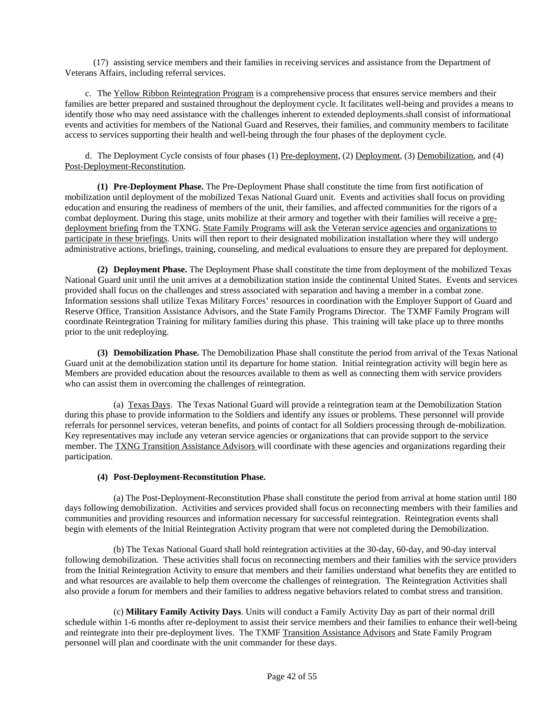(17) assisting service members and their families in receiving services and assistance from the Department of Veterans Affairs, including referral services.

c. The Yellow Ribbon Reintegration Program is a comprehensive process that ensures service members and their families are better prepared and sustained throughout the deployment cycle. It facilitates well-being and provides a means to identify those who may need assistance with the challenges inherent to extended deployments.shall consist of informational events and activities for members of the National Guard and Reserves, their families, and community members to facilitate access to services supporting their health and well-being through the four phases of the deployment cycle.

d. The Deployment Cycle consists of four phases (1) Pre-deployment, (2) Deployment, (3) Demobilization, and (4) Post-Deployment-Reconstitution.

**(1) Pre-Deployment Phase.** The Pre-Deployment Phase shall constitute the time from first notification of mobilization until deployment of the mobilized Texas National Guard unit. Events and activities shall focus on providing education and ensuring the readiness of members of the unit, their families, and affected communities for the rigors of a combat deployment. During this stage, units mobilize at their armory and together with their families will receive a predeployment briefing from the TXNG. State Family Programs will ask the Veteran service agencies and organizations to participate in these briefings. Units will then report to their designated mobilization installation where they will undergo administrative actions, briefings, training, counseling, and medical evaluations to ensure they are prepared for deployment.

**(2) Deployment Phase.** The Deployment Phase shall constitute the time from deployment of the mobilized Texas National Guard unit until the unit arrives at a demobilization station inside the continental United States. Events and services provided shall focus on the challenges and stress associated with separation and having a member in a combat zone. Information sessions shall utilize Texas Military Forces' resources in coordination with the Employer Support of Guard and Reserve Office, Transition Assistance Advisors, and the State Family Programs Director. The TXMF Family Program will coordinate Reintegration Training for military families during this phase. This training will take place up to three months prior to the unit redeploying.

**(3) Demobilization Phase.** The Demobilization Phase shall constitute the period from arrival of the Texas National Guard unit at the demobilization station until its departure for home station. Initial reintegration activity will begin here as Members are provided education about the resources available to them as well as connecting them with service providers who can assist them in overcoming the challenges of reintegration.

(a) Texas Days. The Texas National Guard will provide a reintegration team at the Demobilization Station during this phase to provide information to the Soldiers and identify any issues or problems. These personnel will provide referrals for personnel services, veteran benefits, and points of contact for all Soldiers processing through de-mobilization. Key representatives may include any veteran service agencies or organizations that can provide support to the service member. The TXNG Transition Assistance Advisors will coordinate with these agencies and organizations regarding their participation.

#### **(4) Post-Deployment-Reconstitution Phase.**

(a) The Post-Deployment-Reconstitution Phase shall constitute the period from arrival at home station until 180 days following demobilization. Activities and services provided shall focus on reconnecting members with their families and communities and providing resources and information necessary for successful reintegration. Reintegration events shall begin with elements of the Initial Reintegration Activity program that were not completed during the Demobilization.

(b) The Texas National Guard shall hold reintegration activities at the 30-day, 60-day, and 90-day interval following demobilization. These activities shall focus on reconnecting members and their families with the service providers from the Initial Reintegration Activity to ensure that members and their families understand what benefits they are entitled to and what resources are available to help them overcome the challenges of reintegration. The Reintegration Activities shall also provide a forum for members and their families to address negative behaviors related to combat stress and transition.

(c) **Military Family Activity Days**. Units will conduct a Family Activity Day as part of their normal drill schedule within 1-6 months after re-deployment to assist their service members and their families to enhance their well-being and reintegrate into their pre-deployment lives. The TXMF Transition Assistance Advisors and State Family Program personnel will plan and coordinate with the unit commander for these days.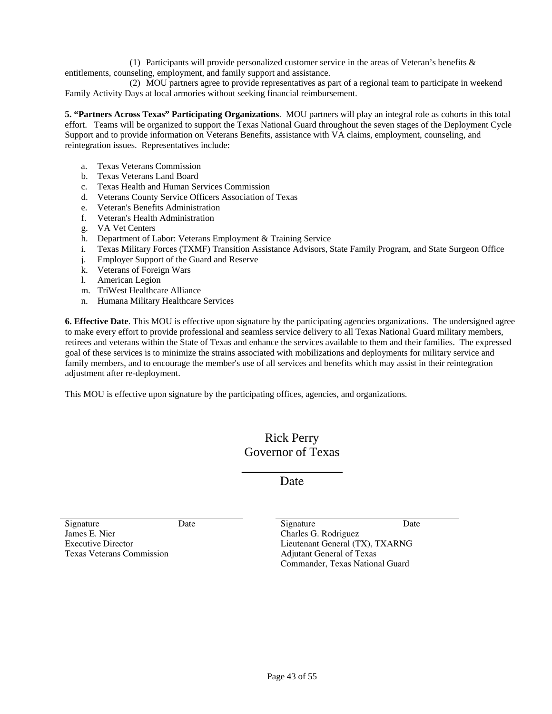(1) Participants will provide personalized customer service in the areas of Veteran's benefits & entitlements, counseling, employment, and family support and assistance.

(2) MOU partners agree to provide representatives as part of a regional team to participate in weekend Family Activity Days at local armories without seeking financial reimbursement.

**5. "Partners Across Texas" Participating Organizations**. MOU partners will play an integral role as cohorts in this total effort. Teams will be organized to support the Texas National Guard throughout the seven stages of the Deployment Cycle Support and to provide information on Veterans Benefits, assistance with VA claims, employment, counseling, and reintegration issues. Representatives include:

- a. Texas Veterans Commission
- b. Texas Veterans Land Board
- c. Texas Health and Human Services Commission
- d. Veterans County Service Officers Association of Texas
- e. Veteran's Benefits Administration
- f. Veteran's Health Administration
- g. VA Vet Centers
- h. Department of Labor: Veterans Employment & Training Service
- i. Texas Military Forces (TXMF) Transition Assistance Advisors, State Family Program, and State Surgeon Office
- j. Employer Support of the Guard and Reserve
- k. Veterans of Foreign Wars
- l. American Legion
- m. TriWest Healthcare Alliance
- n. Humana Military Healthcare Services

**6. Effective Date**. This MOU is effective upon signature by the participating agencies organizations. The undersigned agree to make every effort to provide professional and seamless service delivery to all Texas National Guard military members, retirees and veterans within the State of Texas and enhance the services available to them and their families. The expressed goal of these services is to minimize the strains associated with mobilizations and deployments for military service and family members, and to encourage the member's use of all services and benefits which may assist in their reintegration adjustment after re-deployment.

This MOU is effective upon signature by the participating offices, agencies, and organizations.

## Rick Perry Governor of Texas

 $\overline{\phantom{a}}$ Date

Signature Date Date Signature Date James E. Nier Executive Director Texas Veterans Commission

Charles G. Rodriguez Lieutenant General (TX), TXARNG Adjutant General of Texas Commander, Texas National Guard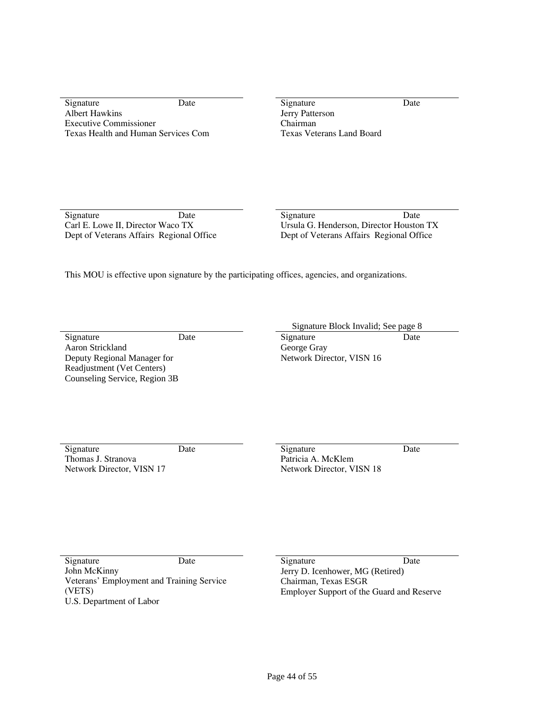Signature Date Date Signature Date Date Albert Hawkins Executive Commissioner Texas Health and Human Services Com

Jerry Patterson Chairman Texas Veterans Land Board

Signature Date Date Signature Date Date Carl E. Lowe II, Director Waco TX Dept of Veterans Affairs Regional Office

Ursula G. Henderson, Director Houston TX Dept of Veterans Affairs Regional Office

This MOU is effective upon signature by the participating offices, agencies, and organizations.

Signature Date Date Signature Date Aaron Strickland Deputy Regional Manager for Readjustment (Vet Centers) Counseling Service, Region 3B

Signature Block Invalid; See page 8

George Gray Network Director, VISN 16

Signature Date Date Signature Date Date Thomas J. Stranova Network Director, VISN 17

Patricia A. McKlem Network Director, VISN 18

John McKinny Veterans' Employment and Training Service (VETS) U.S. Department of Labor

Signature Date Date Signature Date Date Jerry D. Icenhower, MG (Retired) Chairman, Texas ESGR Employer Support of the Guard and Reserve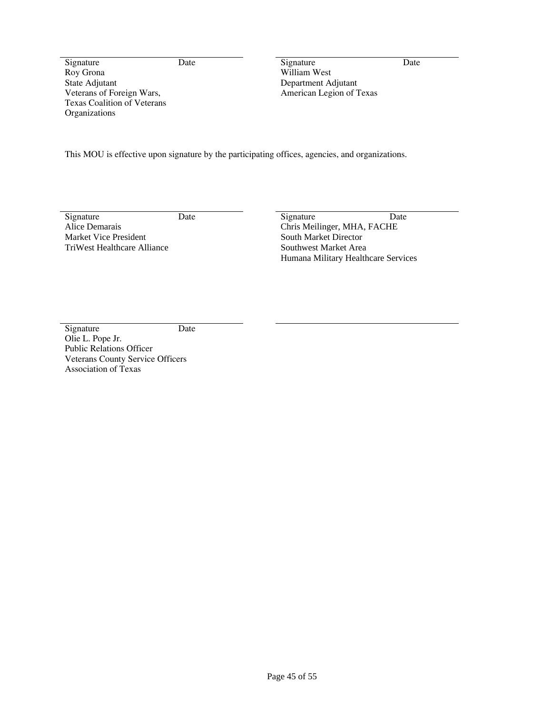Roy Grona State Adjutant Veterans of Foreign Wars, Texas Coalition of Veterans **Organizations** 

Signature Date Date Signature Date William West Department Adjutant American Legion of Texas

This MOU is effective upon signature by the participating offices, agencies, and organizations.

Alice Demarais Market Vice President TriWest Healthcare Alliance

Signature Date Date Signature Date Chris Meilinger, MHA, FACHE South Market Director Southwest Market Area Humana Military Healthcare Services

Signature Date Olie L. Pope Jr. Public Relations Officer Veterans County Service Officers Association of Texas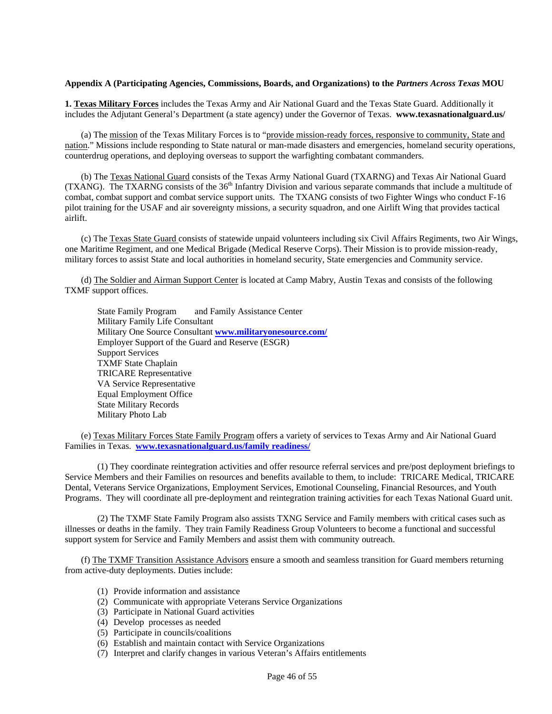#### **Appendix A (Participating Agencies, Commissions, Boards, and Organizations) to the** *Partners Across Texas* **MOU**

**1. Texas Military Forces** includes the Texas Army and Air National Guard and the Texas State Guard. Additionally it includes the Adjutant General's Department (a state agency) under the Governor of Texas. **www.texasnationalguard.us/** 

(a) The mission of the Texas Military Forces is to "provide mission-ready forces, responsive to community, State and nation." Missions include responding to State natural or man-made disasters and emergencies, homeland security operations, counterdrug operations, and deploying overseas to support the warfighting combatant commanders.

(b) The Texas National Guard consists of the Texas Army National Guard (TXARNG) and Texas Air National Guard (TXANG). The TXARNG consists of the 36<sup>th</sup> Infantry Division and various separate commands that include a multitude of combat, combat support and combat service support units. The TXANG consists of two Fighter Wings who conduct F-16 pilot training for the USAF and air sovereignty missions, a security squadron, and one Airlift Wing that provides tactical airlift.

(c) The Texas State Guard consists of statewide unpaid volunteers including six Civil Affairs Regiments, two Air Wings, one Maritime Regiment, and one Medical Brigade (Medical Reserve Corps). Their Mission is to provide mission-ready, military forces to assist State and local authorities in homeland security, State emergencies and Community service.

(d) The Soldier and Airman Support Center is located at Camp Mabry, Austin Texas and consists of the following TXMF support offices.

State Family Program and Family Assistance Center Military Family Life Consultant Military One Source Consultant **[www.militaryonesource.com/](http://www.militaryonesource.com/)** Employer Support of the Guard and Reserve (ESGR) Support Services TXMF State Chaplain TRICARE Representative VA Service Representative Equal Employment Office State Military Records Military Photo Lab

(e) Texas Military Forces State Family Program offers a variety of services to Texas Army and Air National Guard Families in Texas. **[www.texasnationalguard.us/family readiness/](http://www.texasnationalguard.us/family%20readiness/)**

(1) They coordinate reintegration activities and offer resource referral services and pre/post deployment briefings to Service Members and their Families on resources and benefits available to them, to include: TRICARE Medical, TRICARE Dental, Veterans Service Organizations, Employment Services, Emotional Counseling, Financial Resources, and Youth Programs. They will coordinate all pre-deployment and reintegration training activities for each Texas National Guard unit.

(2) The TXMF State Family Program also assists TXNG Service and Family members with critical cases such as illnesses or deaths in the family. They train Family Readiness Group Volunteers to become a functional and successful support system for Service and Family Members and assist them with community outreach.

(f) The TXMF Transition Assistance Advisors ensure a smooth and seamless transition for Guard members returning from active-duty deployments. Duties include:

- (1) Provide information and assistance
- (2) Communicate with appropriate Veterans Service Organizations
- (3) Participate in National Guard activities
- (4) Develop processes as needed
- (5) Participate in councils/coalitions
- (6) Establish and maintain contact with Service Organizations
- (7) Interpret and clarify changes in various Veteran's Affairs entitlements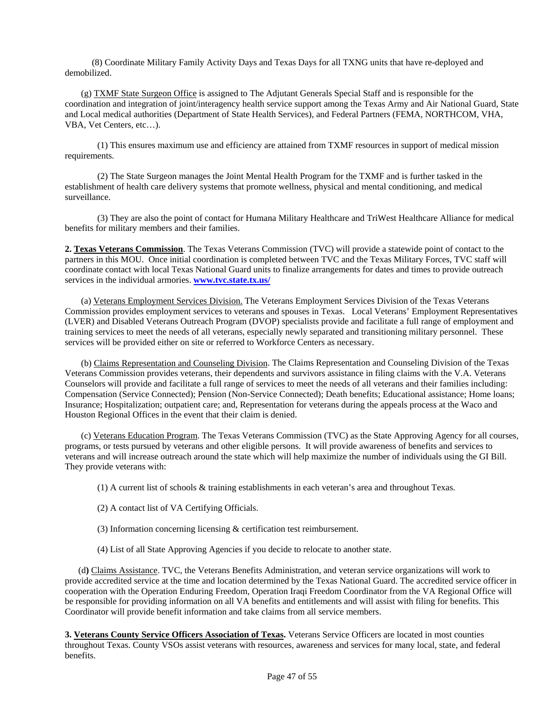(8) Coordinate Military Family Activity Days and Texas Days for all TXNG units that have re-deployed and demobilized.

(g) TXMF State Surgeon Office is assigned to The Adjutant Generals Special Staff and is responsible for the coordination and integration of joint/interagency health service support among the Texas Army and Air National Guard, State and Local medical authorities (Department of State Health Services), and Federal Partners (FEMA, NORTHCOM, VHA, VBA, Vet Centers, etc…).

(1) This ensures maximum use and efficiency are attained from TXMF resources in support of medical mission requirements.

(2) The State Surgeon manages the Joint Mental Health Program for the TXMF and is further tasked in the establishment of health care delivery systems that promote wellness, physical and mental conditioning, and medical surveillance.

(3) They are also the point of contact for Humana Military Healthcare and TriWest Healthcare Alliance for medical benefits for military members and their families.

**2. Texas Veterans Commission**. The Texas Veterans Commission (TVC) will provide a statewide point of contact to the partners in this MOU. Once initial coordination is completed between TVC and the Texas Military Forces, TVC staff will coordinate contact with local Texas National Guard units to finalize arrangements for dates and times to provide outreach services in the individual armories. **[www.tvc.state.tx.us/](http://www.tvc.state.tx.us/)**

(a) Veterans Employment Services Division. The Veterans Employment Services Division of the Texas Veterans Commission provides employment services to veterans and spouses in Texas. Local Veterans' Employment Representatives (LVER) and Disabled Veterans Outreach Program (DVOP) specialists provide and facilitate a full range of employment and training services to meet the needs of all veterans, especially newly separated and transitioning military personnel. These services will be provided either on site or referred to Workforce Centers as necessary.

(b) Claims Representation and Counseling Division. The Claims Representation and Counseling Division of the Texas Veterans Commission provides veterans, their dependents and survivors assistance in filing claims with the V.A. Veterans Counselors will provide and facilitate a full range of services to meet the needs of all veterans and their families including: Compensation (Service Connected); Pension (Non-Service Connected); Death benefits; Educational assistance; Home loans; Insurance; Hospitalization; outpatient care; and, Representation for veterans during the appeals process at the Waco and Houston Regional Offices in the event that their claim is denied.

(c) Veterans Education Program. The Texas Veterans Commission (TVC) as the State Approving Agency for all courses, programs, or tests pursued by veterans and other eligible persons. It will provide awareness of benefits and services to veterans and will increase outreach around the state which will help maximize the number of individuals using the GI Bill. They provide veterans with:

(1) A current list of schools & training establishments in each veteran's area and throughout Texas.

- (2) A contact list of VA Certifying Officials.
- (3) Information concerning licensing & certification test reimbursement.
- (4) List of all State Approving Agencies if you decide to relocate to another state.

 (d**)** Claims Assistance. TVC, the Veterans Benefits Administration, and veteran service organizations will work to provide accredited service at the time and location determined by the Texas National Guard. The accredited service officer in cooperation with the Operation Enduring Freedom, Operation Iraqi Freedom Coordinator from the VA Regional Office will be responsible for providing information on all VA benefits and entitlements and will assist with filing for benefits. This Coordinator will provide benefit information and take claims from all service members.

**3. Veterans County Service Officers Association of Texas.** Veterans Service Officers are located in most counties throughout Texas. County VSOs assist veterans with resources, awareness and services for many local, state, and federal benefits.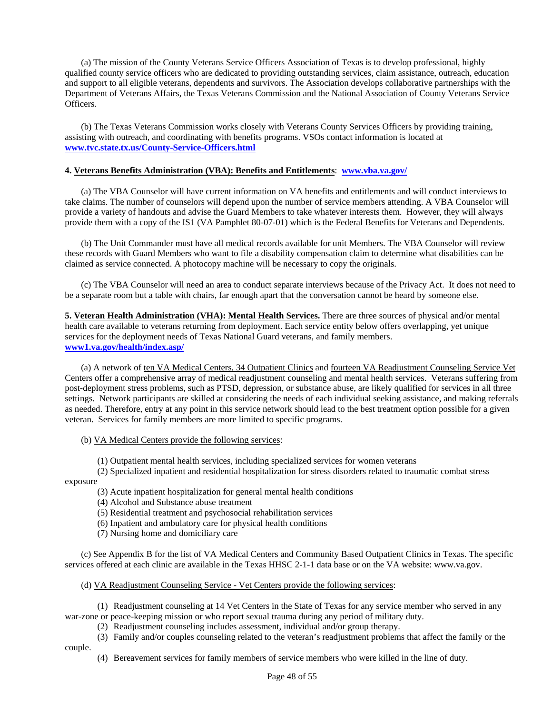(a) The mission of the County Veterans Service Officers Association of Texas is to develop professional, highly qualified county service officers who are dedicated to providing outstanding services, claim assistance, outreach, education and support to all eligible veterans, dependents and survivors. The Association develops collaborative partnerships with the Department of Veterans Affairs, the Texas Veterans Commission and the National Association of County Veterans Service Officers.

(b) The Texas Veterans Commission works closely with Veterans County Services Officers by providing training, assisting with outreach, and coordinating with benefits programs. VSOs contact information is located at **[www.tvc.state.tx.us/County-Service-Officers.html](http://www.tvc.state.tx.us/County-Service-Officers.html)**

#### **4. Veterans Benefits Administration (VBA): Benefits and Entitlements**: **[www.vba.va.gov/](http://www.vba.va.gov/)**

(a) The VBA Counselor will have current information on VA benefits and entitlements and will conduct interviews to take claims. The number of counselors will depend upon the number of service members attending. A VBA Counselor will provide a variety of handouts and advise the Guard Members to take whatever interests them. However, they will always provide them with a copy of the IS1 (VA Pamphlet 80-07-01) which is the Federal Benefits for Veterans and Dependents.

(b) The Unit Commander must have all medical records available for unit Members. The VBA Counselor will review these records with Guard Members who want to file a disability compensation claim to determine what disabilities can be claimed as service connected. A photocopy machine will be necessary to copy the originals.

(c) The VBA Counselor will need an area to conduct separate interviews because of the Privacy Act. It does not need to be a separate room but a table with chairs, far enough apart that the conversation cannot be heard by someone else.

**5. Veteran Health Administration (VHA): Mental Health Services.** There are three sources of physical and/or mental health care available to veterans returning from deployment. Each service entity below offers overlapping, yet unique services for the deployment needs of Texas National Guard veterans, and family members. **[www1.va.gov/health/index.asp/](http://www1.va.gov/health/index.asp/)**

(a) A network of ten VA Medical Centers, 34 Outpatient Clinics and fourteen VA Readjustment Counseling Service Vet Centers offer a comprehensive array of medical readjustment counseling and mental health services. Veterans suffering from post-deployment stress problems, such as PTSD, depression, or substance abuse, are likely qualified for services in all three settings. Network participants are skilled at considering the needs of each individual seeking assistance, and making referrals as needed. Therefore, entry at any point in this service network should lead to the best treatment option possible for a given veteran. Services for family members are more limited to specific programs.

#### (b) VA Medical Centers provide the following services:

(1) Outpatient mental health services, including specialized services for women veterans

(2) Specialized inpatient and residential hospitalization for stress disorders related to traumatic combat stress exposure

(3) Acute inpatient hospitalization for general mental health conditions

(4) Alcohol and Substance abuse treatment

(5) Residential treatment and psychosocial rehabilitation services

(6) Inpatient and ambulatory care for physical health conditions

(7) Nursing home and domiciliary care

(c) See Appendix B for the list of VA Medical Centers and Community Based Outpatient Clinics in Texas. The specific services offered at each clinic are available in the Texas HHSC 2-1-1 data base or on the VA website: www.va.gov.

(d) VA Readjustment Counseling Service - Vet Centers provide the following services:

(1) Readjustment counseling at 14 Vet Centers in the State of Texas for any service member who served in any war-zone or peace-keeping mission or who report sexual trauma during any period of military duty.

(2) Readjustment counseling includes assessment, individual and/or group therapy.

(3) Family and/or couples counseling related to the veteran's readjustment problems that affect the family or the couple.

(4) Bereavement services for family members of service members who were killed in the line of duty.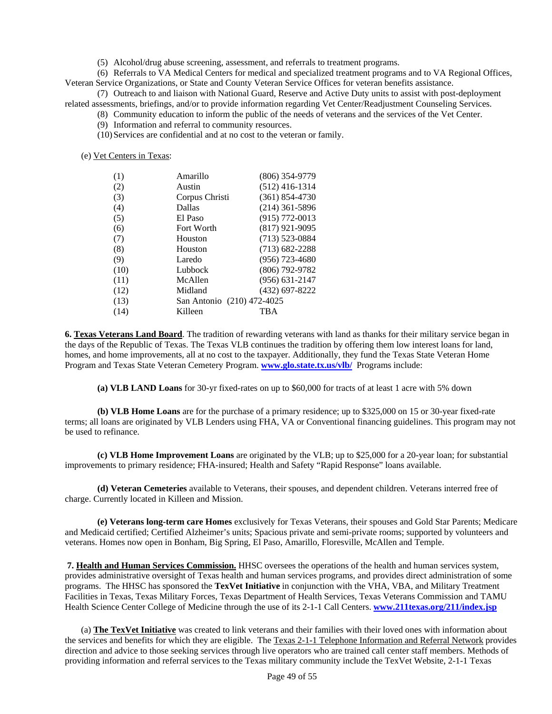(5) Alcohol/drug abuse screening, assessment, and referrals to treatment programs.

(6) Referrals to VA Medical Centers for medical and specialized treatment programs and to VA Regional Offices, Veteran Service Organizations, or State and County Veteran Service Offices for veteran benefits assistance.

(7) Outreach to and liaison with National Guard, Reserve and Active Duty units to assist with post-deployment related assessments, briefings, and/or to provide information regarding Vet Center/Readjustment Counseling Services.

(8) Community education to inform the public of the needs of veterans and the services of the Vet Center.

(9) Information and referral to community resources.

(10)Services are confidential and at no cost to the veteran or family.

(e) Vet Centers in Texas:

| (1)  | Amarillo                   | $(806)$ 354-9779   |
|------|----------------------------|--------------------|
| (2)  | Austin                     | $(512)$ 416-1314   |
| (3)  | Corpus Christi             | $(361) 854 - 4730$ |
| (4)  | Dallas                     | $(214)$ 361-5896   |
| (5)  | El Paso                    | $(915) 772 - 0013$ |
| (6)  | Fort Worth                 | $(817)$ 921-9095   |
| (7)  | Houston                    | $(713) 523 - 0884$ |
| (8)  | Houston                    | $(713) 682 - 2288$ |
| (9)  | Laredo                     | $(956)$ 723-4680   |
| (10) | Lubbock                    | $(806)$ 792-9782   |
| (11) | McAllen                    | $(956) 631 - 2147$ |
| (12) | Midland                    | (432) 697-8222     |
| (13) | San Antonio (210) 472-4025 |                    |
| (14) | Killeen                    | TBA                |

**6. Texas Veterans Land Board**. The tradition of rewarding veterans with land as thanks for their military service began in the days of the Republic of Texas. The Texas VLB continues the tradition by offering them low interest loans for land, homes, and home improvements, all at no cost to the taxpayer. Additionally, they fund the Texas State Veteran Home Program and Texas State Veteran Cemetery Program. **[www.glo.state.tx.us/vlb/](http://www.glo.state.tx.us/vlb/)** Programs include:

 **(a) VLB LAND Loans** for 30-yr fixed-rates on up to \$60,000 for tracts of at least 1 acre with 5% down

 **(b) VLB Home Loans** are for the purchase of a primary residence; up to \$325,000 on 15 or 30-year fixed-rate terms; all loans are originated by VLB Lenders using FHA, VA or Conventional financing guidelines. This program may not be used to refinance.

 **(c) VLB Home Improvement Loans** are originated by the VLB; up to \$25,000 for a 20-year loan; for substantial improvements to primary residence; FHA-insured; Health and Safety "Rapid Response" loans available.

 **(d) Veteran Cemeteries** available to Veterans, their spouses, and dependent children. Veterans interred free of charge. Currently located in Killeen and Mission.

 **(e) Veterans long-term care Homes** exclusively for Texas Veterans, their spouses and Gold Star Parents; Medicare and Medicaid certified; Certified Alzheimer's units; Spacious private and semi-private rooms; supported by volunteers and veterans. Homes now open in Bonham, Big Spring, El Paso, Amarillo, Floresville, McAllen and Temple.

 **7. Health and Human Services Commission.** HHSC oversees the operations of the health and human services system, provides administrative oversight of Texas health and human services programs, and provides direct administration of some programs. The HHSC has sponsored the **TexVet Initiative** in conjunction with the VHA, VBA, and Military Treatment Facilities in Texas, Texas Military Forces, Texas Department of Health Services, Texas Veterans Commission and TAMU Health Science Center College of Medicine through the use of its 2-1-1 Call Centers. **[www.211texas.org/211/index.jsp](http://www.211texas.org/211/index.jsp)**

(a) **The TexVet Initiative** was created to link veterans and their families with their loved ones with information about the services and benefits for which they are eligible. The Texas 2-1-1 Telephone Information and Referral Network provides direction and advice to those seeking services through live operators who are trained call center staff members. Methods of providing information and referral services to the Texas military community include the TexVet Website, 2-1-1 Texas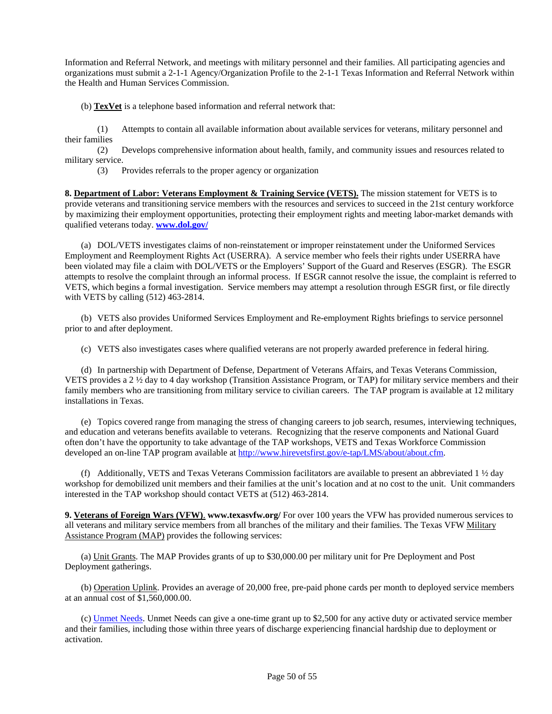Information and Referral Network, and meetings with military personnel and their families. All participating agencies and organizations must submit a 2-1-1 Agency/Organization Profile to the 2-1-1 Texas Information and Referral Network within the Health and Human Services Commission.

(b) **TexVet** is a telephone based information and referral network that:

(1) Attempts to contain all available information about available services for veterans, military personnel and their families

(2) Develops comprehensive information about health, family, and community issues and resources related to military service.

(3) Provides referrals to the proper agency or organization

**8. Department of Labor: Veterans Employment & Training Service (VETS).** The mission statement for VETS is to provide veterans and transitioning service members with the resources and services to succeed in the 21st century workforce by maximizing their employment opportunities, protecting their employment rights and meeting labor-market demands with qualified veterans today. **[www.dol.gov/](http://www.dol.gov/)**

(a) DOL/VETS investigates claims of non-reinstatement or improper reinstatement under the Uniformed Services Employment and Reemployment Rights Act (USERRA). A service member who feels their rights under USERRA have been violated may file a claim with DOL/VETS or the Employers' Support of the Guard and Reserves (ESGR). The ESGR attempts to resolve the complaint through an informal process. If ESGR cannot resolve the issue, the complaint is referred to VETS, which begins a formal investigation. Service members may attempt a resolution through ESGR first, or file directly with VETS by calling (512) 463-2814.

(b) VETS also provides Uniformed Services Employment and Re-employment Rights briefings to service personnel prior to and after deployment.

(c) VETS also investigates cases where qualified veterans are not properly awarded preference in federal hiring.

(d) In partnership with Department of Defense, Department of Veterans Affairs, and Texas Veterans Commission, VETS provides a 2 ½ day to 4 day workshop (Transition Assistance Program, or TAP) for military service members and their family members who are transitioning from military service to civilian careers. The TAP program is available at 12 military installations in Texas.

(e) Topics covered range from managing the stress of changing careers to job search, resumes, interviewing techniques, and education and veterans benefits available to veterans. Recognizing that the reserve components and National Guard often don't have the opportunity to take advantage of the TAP workshops, VETS and Texas Workforce Commission developed an on-line TAP program available at [http://www.hirevetsfirst.gov/e-tap/LMS/about/about.cfm.](http://www.hirevetsfirst.gov/e-tap/LMS/about/about.cfm)

(f) Additionally, VETS and Texas Veterans Commission facilitators are available to present an abbreviated  $1 \frac{1}{2}$  day workshop for demobilized unit members and their families at the unit's location and at no cost to the unit. Unit commanders interested in the TAP workshop should contact VETS at (512) 463-2814.

**9. Veterans of Foreign Wars (VFW)**. **www.texasvfw.org/** For over 100 years the VFW has provided numerous services to all veterans and military service members from all branches of the military and their families. The Texas VFW Military Assistance Program (MAP) provides the following services:

(a) Unit Grants. The MAP Provides grants of up to \$30,000.00 per military unit for Pre Deployment and Post Deployment gatherings.

(b) Operation Uplink. Provides an average of 20,000 free, pre-paid phone cards per month to deployed service members at an annual cost of \$1,560,000.00.

(c) [Unmet Needs](http://www.vfwfoundation.org/programs_unmet.aspx). Unmet Needs can give a one-time grant up to \$2,500 for any active duty or activated service member and their families, including those within three years of discharge experiencing financial hardship due to deployment or activation.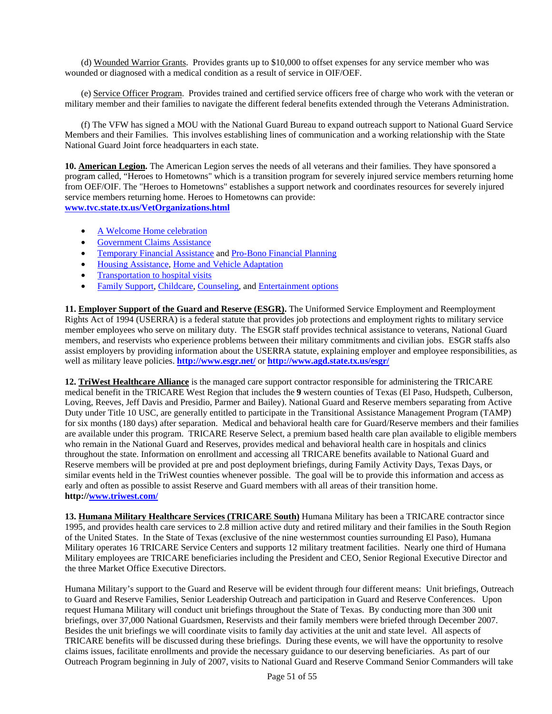(d) Wounded Warrior Grants. Provides grants up to \$10,000 to offset expenses for any service member who was wounded or diagnosed with a medical condition as a result of service in OIF/OEF.

(e) Service Officer Program. Provides trained and certified service officers free of charge who work with the veteran or military member and their families to navigate the different federal benefits extended through the Veterans Administration.

(f) The VFW has signed a MOU with the National Guard Bureau to expand outreach support to National Guard Service Members and their Families. This involves establishing lines of communication and a working relationship with the State National Guard Joint force headquarters in each state.

**10. American Legion.** The American Legion serves the needs of all veterans and their families. They have sponsored a program called, "Heroes to Hometowns" which is a transition program for severely injured service members returning home from OEF/OIF. The "Heroes to Hometowns" establishes a support network and coordinates resources for severely injured service members returning home. Heroes to Hometowns can provide: **[www.tvc.state.tx.us/VetOrganizations.html](http://www.tvc.state.tx.us/VetOrganizations.html)**

- [A Welcome Home celebration](http://cbs2chicago.com/holidays/local_story_325183214.html)
- [Government Claims Assistance](http://www.legion.org/?section=our_legion&subsection=ol_departments&content=ol_dsodir)
- **[Temporary Financial Assistance](http://www.legion.org/support/?section=support_fsn&subsection=assistance_request&content=assistance_request) and Pro-Bono Financial Planning**
- [Housing Assistance](http://www.militaryhomefront.dod.mil/dav/lsn/LSN/BINARY_RESOURCE/BINARY_CONTENT/1899981.pdf), [Home and Vehicle Adaptation](http://www.militaryonesource.com/skins/MOS/display.aspx?mode=user&action=material&ModuleID=ae74eaa3-d1b6-4dbd-b23e-354880172094&ObjectID=ffbebbb0-60a6-4863-9c80-94e186cba791&IssueID=734c81ff-285b-4c48-b71d-3d2bc088d394&CatID=4cff2760-fa4c-41b9-85a1-3996e68)
- Transportation to hospital visits
- [Family Support](http://www.legion.org/support/?section=support_fsn&content=support_fsn), [Childcare](http://www.legion.org/support/?section=support_fsn&content=support_fsn), [Counseling,](http://www.legion.org/support/?section=support_fsn&content=support_fsn) and [Entertainment options](http://www1.va.gov/opa/speceven/index.asp#games)

**11. Employer Support of the Guard and Reserve (ESGR).** The Uniformed Service Employment and Reemployment Rights Act of 1994 (USERRA) is a federal statute that provides job protections and employment rights to military service member employees who serve on military duty. The ESGR staff provides technical assistance to veterans, National Guard members, and reservists who experience problems between their military commitments and civilian jobs. ESGR staffs also assist employers by providing information about the USERRA statute, explaining employer and employee responsibilities, as well as military leave policies. **<http://www.esgr.net/>** or **<http://www.agd.state.tx.us/esgr/>**

**12. TriWest Healthcare Alliance** is the managed care support contractor responsible for administering the TRICARE medical benefit in the TRICARE West Region that includes the **9** western counties of Texas (El Paso, Hudspeth, Culberson, Loving, Reeves, Jeff Davis and Presidio, Parmer and Bailey). National Guard and Reserve members separating from Active Duty under Title 10 USC, are generally entitled to participate in the Transitional Assistance Management Program (TAMP) for six months (180 days) after separation. Medical and behavioral health care for Guard/Reserve members and their families are available under this program. TRICARE Reserve Select, a premium based health care plan available to eligible members who remain in the National Guard and Reserves, provides medical and behavioral health care in hospitals and clinics throughout the state. Information on enrollment and accessing all TRICARE benefits available to National Guard and Reserve members will be provided at pre and post deployment briefings, during Family Activity Days, Texas Days, or similar events held in the TriWest counties whenever possible. The goal will be to provide this information and access as early and often as possible to assist Reserve and Guard members with all areas of their transition home. **http://[www.triwest.com/](http://www.triwest.com/)**

**13. Humana Military Healthcare Services (TRICARE South)** Humana Military has been a TRICARE contractor since 1995, and provides health care services to 2.8 million active duty and retired military and their families in the South Region of the United States. In the State of Texas (exclusive of the nine westernmost counties surrounding El Paso), Humana Military operates 16 TRICARE Service Centers and supports 12 military treatment facilities. Nearly one third of Humana Military employees are TRICARE beneficiaries including the President and CEO, Senior Regional Executive Director and the three Market Office Executive Directors.

Humana Military's support to the Guard and Reserve will be evident through four different means: Unit briefings, Outreach to Guard and Reserve Families, Senior Leadership Outreach and participation in Guard and Reserve Conferences. Upon request Humana Military will conduct unit briefings throughout the State of Texas. By conducting more than 300 unit briefings, over 37,000 National Guardsmen, Reservists and their family members were briefed through December 2007. Besides the unit briefings we will coordinate visits to family day activities at the unit and state level. All aspects of TRICARE benefits will be discussed during these briefings. During these events, we will have the opportunity to resolve claims issues, facilitate enrollments and provide the necessary guidance to our deserving beneficiaries. As part of our Outreach Program beginning in July of 2007, visits to National Guard and Reserve Command Senior Commanders will take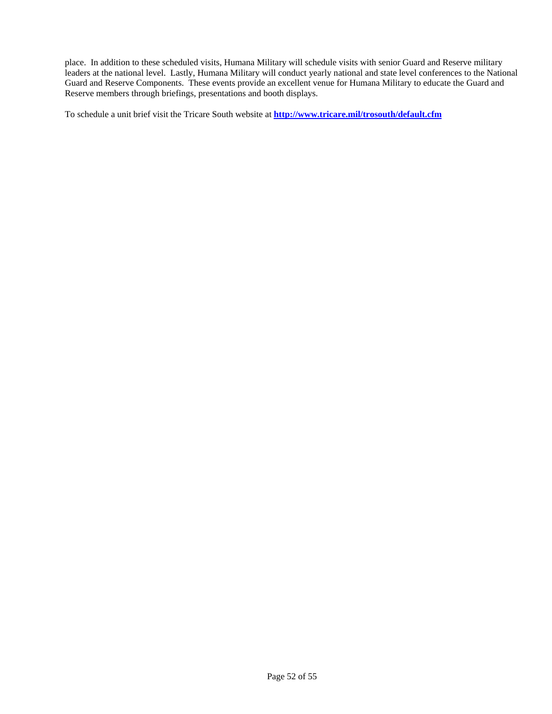place. In addition to these scheduled visits, Humana Military will schedule visits with senior Guard and Reserve military leaders at the national level. Lastly, Humana Military will conduct yearly national and state level conferences to the National Guard and Reserve Components. These events provide an excellent venue for Humana Military to educate the Guard and Reserve members through briefings, presentations and booth displays.

To schedule a unit brief visit the Tricare South website at **<http://www.tricare.mil/trosouth/default.cfm>**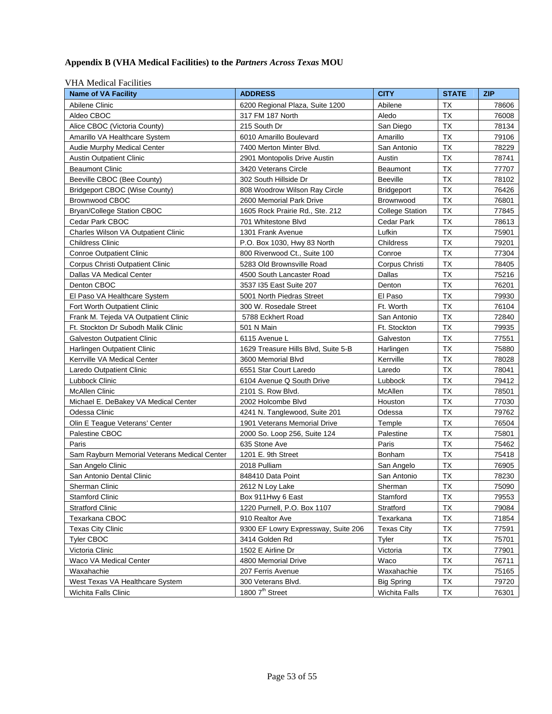## **Appendix B (VHA Medical Facilities) to the** *Partners Across Texas* **MOU**

| VIII IVIUUUAI PAUIIIIUS<br><b>Name of VA Facility</b> | <b>ADDRESS</b>                      | <b>CITY</b>            | <b>STATE</b> | <b>ZIP</b> |
|-------------------------------------------------------|-------------------------------------|------------------------|--------------|------------|
| Abilene Clinic                                        | 6200 Regional Plaza, Suite 1200     | Abilene                | ТX           | 78606      |
| Aldeo CBOC                                            | 317 FM 187 North                    | Aledo                  | <b>TX</b>    | 76008      |
| Alice CBOC (Victoria County)                          | 215 South Dr                        | San Diego              | <b>TX</b>    | 78134      |
| Amarillo VA Healthcare System                         | 6010 Amarillo Boulevard             | Amarillo               | <b>TX</b>    | 79106      |
| Audie Murphy Medical Center                           | 7400 Merton Minter Blvd.            | San Antonio            | <b>TX</b>    | 78229      |
| <b>Austin Outpatient Clinic</b>                       | 2901 Montopolis Drive Austin        | Austin                 | <b>TX</b>    | 78741      |
| <b>Beaumont Clinic</b>                                | 3420 Veterans Circle                | <b>Beaumont</b>        | <b>TX</b>    | 77707      |
| Beeville CBOC (Bee County)                            | 302 South Hillside Dr               | <b>Beeville</b>        | ТX           | 78102      |
| <b>Bridgeport CBOC (Wise County)</b>                  | 808 Woodrow Wilson Ray Circle       | <b>Bridgeport</b>      | <b>TX</b>    | 76426      |
| <b>Brownwood CBOC</b>                                 | 2600 Memorial Park Drive            | Brownwood              | <b>TX</b>    | 76801      |
| Bryan/College Station CBOC                            | 1605 Rock Prairie Rd., Ste. 212     | <b>College Station</b> | <b>TX</b>    | 77845      |
| Cedar Park CBOC                                       | 701 Whitestone Blvd                 | Cedar Park             | <b>TX</b>    | 78613      |
| Charles Wilson VA Outpatient Clinic                   | 1301 Frank Avenue                   | Lufkin                 | <b>TX</b>    | 75901      |
| Childress Clinic                                      | P.O. Box 1030, Hwy 83 North         | Childress              | <b>TX</b>    | 79201      |
| <b>Conroe Outpatient Clinic</b>                       | 800 Riverwood Ct., Suite 100        | Conroe                 | <b>TX</b>    | 77304      |
| Corpus Christi Outpatient Clinic                      | 5283 Old Brownsville Road           | Corpus Christi         | <b>TX</b>    | 78405      |
| Dallas VA Medical Center                              | 4500 South Lancaster Road           | Dallas                 | <b>TX</b>    | 75216      |
| Denton CBOC                                           | 3537 I35 East Suite 207             | Denton                 | <b>TX</b>    | 76201      |
| El Paso VA Healthcare System                          | 5001 North Piedras Street           | El Paso                | <b>TX</b>    | 79930      |
| Fort Worth Outpatient Clinic                          | 300 W. Rosedale Street              | Ft. Worth              | <b>TX</b>    | 76104      |
| Frank M. Tejeda VA Outpatient Clinic                  | 5788 Eckhert Road                   | San Antonio            | <b>TX</b>    | 72840      |
| Ft. Stockton Dr Subodh Malik Clinic                   | 501 N Main                          | Ft. Stockton           | <b>TX</b>    | 79935      |
| <b>Galveston Outpatient Clinic</b>                    | 6115 Avenue L                       | Galveston              | <b>TX</b>    | 77551      |
| Harlingen Outpatient Clinic                           | 1629 Treasure Hills Blvd, Suite 5-B | Harlingen              | <b>TX</b>    | 75880      |
| Kerrville VA Medical Center                           | 3600 Memorial Blvd                  | Kerrville              | <b>TX</b>    | 78028      |
| Laredo Outpatient Clinic                              | 6551 Star Court Laredo              | Laredo                 | <b>TX</b>    | 78041      |
| Lubbock Clinic                                        | 6104 Avenue Q South Drive           | Lubbock                | <b>TX</b>    | 79412      |
| <b>McAllen Clinic</b>                                 | 2101 S. Row Blvd.                   | McAllen                | <b>TX</b>    | 78501      |
| Michael E. DeBakey VA Medical Center                  | 2002 Holcombe Blvd                  | Houston                | <b>TX</b>    | 77030      |
| Odessa Clinic                                         | 4241 N. Tanglewood, Suite 201       | Odessa                 | <b>TX</b>    | 79762      |
| Olin E Teague Veterans' Center                        | 1901 Veterans Memorial Drive        | Temple                 | <b>TX</b>    | 76504      |
| Palestine CBOC                                        | 2000 So. Loop 256, Suite 124        | Palestine              | TX           | 75801      |
| Paris                                                 | 635 Stone Ave                       | Paris                  | <b>TX</b>    | 75462      |
| Sam Rayburn Memorial Veterans Medical Center          | 1201 E. 9th Street                  | Bonham                 | <b>TX</b>    | 75418      |
| San Angelo Clinic                                     | 2018 Pulliam                        | San Angelo             | <b>TX</b>    | 76905      |
| San Antonio Dental Clinic                             | 848410 Data Point                   | San Antonio            | <b>TX</b>    | 78230      |
| Sherman Clinic                                        | 2612 N Loy Lake                     | Sherman                | <b>TX</b>    | 75090      |
| <b>Stamford Clinic</b>                                | Box 911Hwy 6 East                   | Stamford               | <b>TX</b>    | 79553      |
| <b>Stratford Clinic</b>                               | 1220 Purnell, P.O. Box 1107         | Stratford              | TX           | 79084      |
| Texarkana CBOC                                        | 910 Realtor Ave                     | Texarkana              | TX           | 71854      |
| <b>Texas City Clinic</b>                              | 9300 EF Lowry Expressway, Suite 206 | <b>Texas City</b>      | <b>TX</b>    | 77591      |
| <b>Tyler CBOC</b>                                     | 3414 Golden Rd                      | Tyler                  | <b>TX</b>    | 75701      |
| Victoria Clinic                                       | 1502 E Airline Dr                   | Victoria               | TX           | 77901      |
| Waco VA Medical Center                                | 4800 Memorial Drive                 | Waco                   | TX           | 76711      |
| Waxahachie                                            | 207 Ferris Avenue                   | Waxahachie             | TX           | 75165      |
| West Texas VA Healthcare System                       | 300 Veterans Blvd.                  | <b>Big Spring</b>      | TX           | 79720      |
| <b>Wichita Falls Clinic</b>                           | 1800 7 <sup>th</sup> Street         | <b>Wichita Falls</b>   | TX           | 76301      |

#### VHA Medical Facilities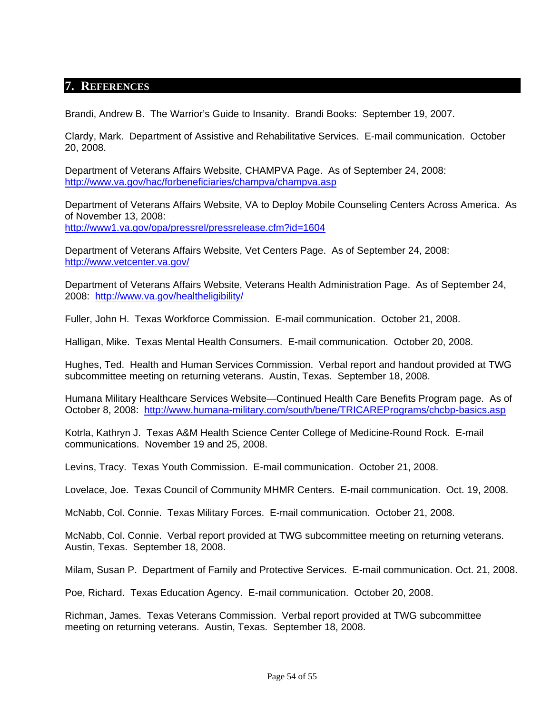## <span id="page-53-0"></span>**7. REFERENCES**

Brandi, Andrew B. The Warrior's Guide to Insanity. Brandi Books: September 19, 2007.

Clardy, Mark. Department of Assistive and Rehabilitative Services. E-mail communication. October 20, 2008.

Department of Veterans Affairs Website, CHAMPVA Page. As of September 24, 2008: <http://www.va.gov/hac/forbeneficiaries/champva/champva.asp>

Department of Veterans Affairs Website, VA to Deploy Mobile Counseling Centers Across America. As of November 13, 2008: <http://www1.va.gov/opa/pressrel/pressrelease.cfm?id=1604>

Department of Veterans Affairs Website, Vet Centers Page. As of September 24, 2008: <http://www.vetcenter.va.gov/>

Department of Veterans Affairs Website, Veterans Health Administration Page. As of September 24, 2008: <http://www.va.gov/healtheligibility/>

Fuller, John H. Texas Workforce Commission. E-mail communication. October 21, 2008.

Halligan, Mike. Texas Mental Health Consumers. E-mail communication. October 20, 2008.

Hughes, Ted. Health and Human Services Commission. Verbal report and handout provided at TWG subcommittee meeting on returning veterans. Austin, Texas. September 18, 2008.

Humana Military Healthcare Services Website—Continued Health Care Benefits Program page. As of October 8, 2008: <http://www.humana-military.com/south/bene/TRICAREPrograms/chcbp-basics.asp>

Kotrla, Kathryn J. Texas A&M Health Science Center College of Medicine-Round Rock. E-mail communications. November 19 and 25, 2008.

Levins, Tracy. Texas Youth Commission. E-mail communication. October 21, 2008.

Lovelace, Joe. Texas Council of Community MHMR Centers. E-mail communication. Oct. 19, 2008.

McNabb, Col. Connie. Texas Military Forces. E-mail communication. October 21, 2008.

McNabb, Col. Connie. Verbal report provided at TWG subcommittee meeting on returning veterans. Austin, Texas. September 18, 2008.

Milam, Susan P. Department of Family and Protective Services. E-mail communication. Oct. 21, 2008.

Poe, Richard. Texas Education Agency. E-mail communication. October 20, 2008.

Richman, James. Texas Veterans Commission. Verbal report provided at TWG subcommittee meeting on returning veterans. Austin, Texas. September 18, 2008.